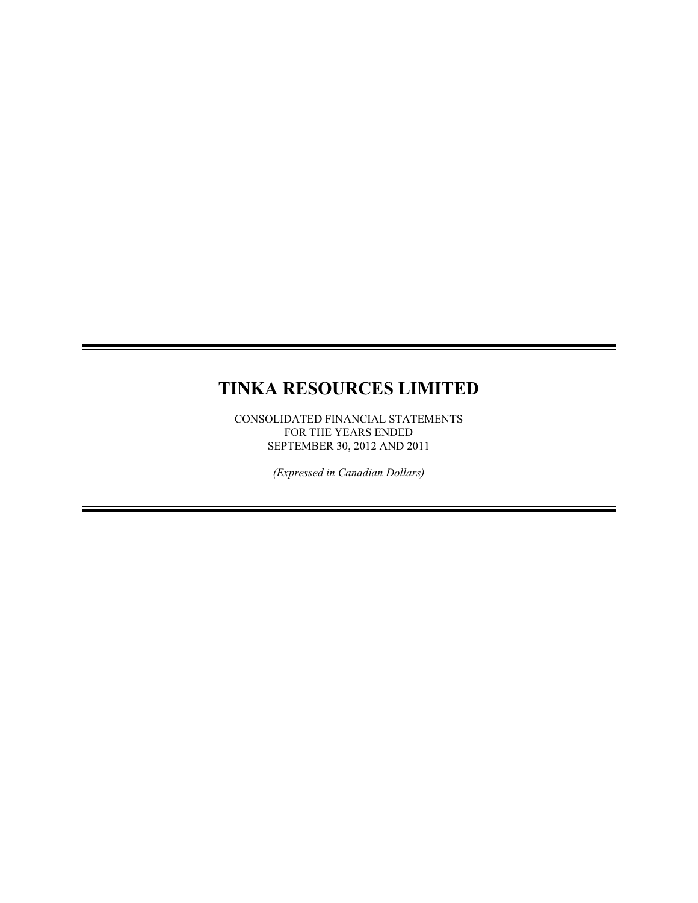# **TINKA RESOURCES LIMITED**

CONSOLIDATED FINANCIAL STATEMENTS FOR THE YEARS ENDED SEPTEMBER 30, 2012 AND 2011

*(Expressed in Canadian Dollars)*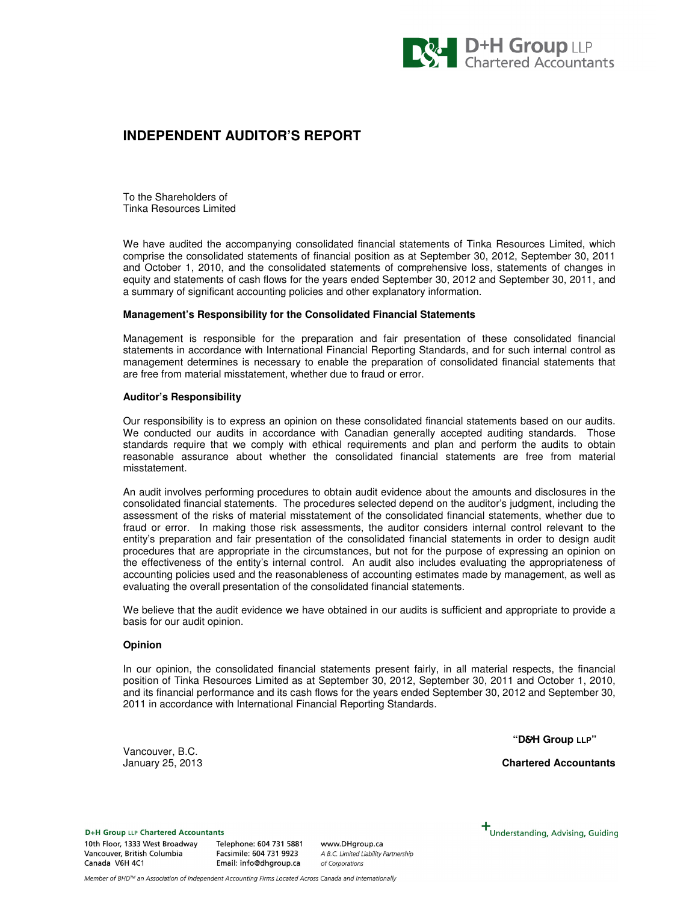

# **INDEPENDENT AUDITOR'S REPORT**

To the Shareholders of Tinka Resources Limited

We have audited the accompanying consolidated financial statements of Tinka Resources Limited, which comprise the consolidated statements of financial position as at September 30, 2012, September 30, 2011 and October 1, 2010, and the consolidated statements of comprehensive loss, statements of changes in equity and statements of cash flows for the years ended September 30, 2012 and September 30, 2011, and a summary of significant accounting policies and other explanatory information.

#### **Management's Responsibility for the Consolidated Financial Statements**

Management is responsible for the preparation and fair presentation of these consolidated financial statements in accordance with International Financial Reporting Standards, and for such internal control as management determines is necessary to enable the preparation of consolidated financial statements that are free from material misstatement, whether due to fraud or error.

#### **Auditor's Responsibility**

Our responsibility is to express an opinion on these consolidated financial statements based on our audits. We conducted our audits in accordance with Canadian generally accepted auditing standards. Those standards require that we comply with ethical requirements and plan and perform the audits to obtain reasonable assurance about whether the consolidated financial statements are free from material misstatement.

An audit involves performing procedures to obtain audit evidence about the amounts and disclosures in the consolidated financial statements. The procedures selected depend on the auditor's judgment, including the assessment of the risks of material misstatement of the consolidated financial statements, whether due to fraud or error. In making those risk assessments, the auditor considers internal control relevant to the entity's preparation and fair presentation of the consolidated financial statements in order to design audit procedures that are appropriate in the circumstances, but not for the purpose of expressing an opinion on the effectiveness of the entity's internal control. An audit also includes evaluating the appropriateness of accounting policies used and the reasonableness of accounting estimates made by management, as well as evaluating the overall presentation of the consolidated financial statements.

We believe that the audit evidence we have obtained in our audits is sufficient and appropriate to provide a basis for our audit opinion.

#### **Opinion**

In our opinion, the consolidated financial statements present fairly, in all material respects, the financial position of Tinka Resources Limited as at September 30, 2012, September 30, 2011 and October 1, 2010, and its financial performance and its cash flows for the years ended September 30, 2012 and September 30, 2011 in accordance with International Financial Reporting Standards.

**"D**&**H Group LLP"** 

**Chartered Accountants** 

Vancouver, B.C.<br>January 25, 2013

**D+H Group LLP Chartered Accountants** 10th Floor, 1333 West Broadway Vancouver, British Columbia Canada V6H 4C1

Telephone: 604 731 5881 Facsimile: 604 731 9923 Email: info@dhgroup.ca

www.DHaroup.ca A B.C. Limited Liability Partnership of Corporations

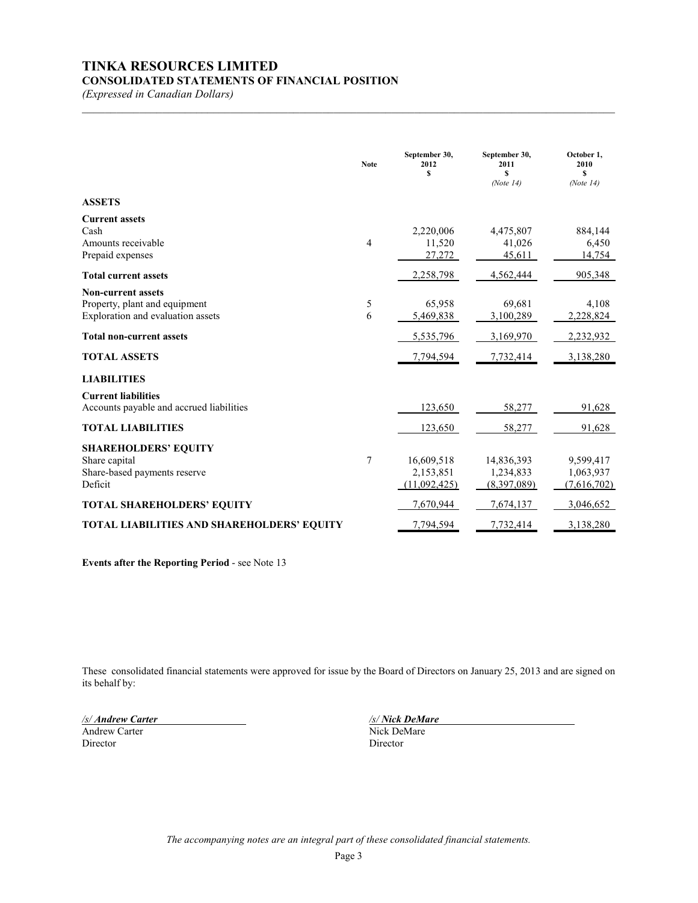# **TINKA RESOURCES LIMITED**

# **CONSOLIDATED STATEMENTS OF FINANCIAL POSITION**

*(Expressed in Canadian Dollars)*

|                                                                                                 | <b>Note</b>    | September 30,<br>2012<br>\$             | September 30,<br>2011<br>s<br>(Note $14$ ) | October 1,<br>2010<br>S<br>(Note $14$ ) |
|-------------------------------------------------------------------------------------------------|----------------|-----------------------------------------|--------------------------------------------|-----------------------------------------|
| <b>ASSETS</b>                                                                                   |                |                                         |                                            |                                         |
| <b>Current assets</b><br>Cash<br>Amounts receivable<br>Prepaid expenses                         | 4              | 2,220,006<br>11,520<br>27,272           | 4,475,807<br>41,026<br>45,611              | 884,144<br>6,450<br>14,754              |
| <b>Total current assets</b>                                                                     |                | 2,258,798                               | 4,562,444                                  | 905,348                                 |
| <b>Non-current assets</b><br>Property, plant and equipment<br>Exploration and evaluation assets | 5<br>6         | 65,958<br>5,469,838                     | 69,681<br>3,100,289                        | 4,108<br>2,228,824                      |
| <b>Total non-current assets</b>                                                                 |                | 5,535,796                               | 3,169,970                                  | 2,232,932                               |
| <b>TOTAL ASSETS</b>                                                                             |                | 7,794,594                               | 7,732,414                                  | 3,138,280                               |
| <b>LIABILITIES</b>                                                                              |                |                                         |                                            |                                         |
| <b>Current liabilities</b><br>Accounts payable and accrued liabilities                          |                | 123,650                                 | 58,277                                     | 91,628                                  |
| <b>TOTAL LIABILITIES</b>                                                                        |                | 123,650                                 | 58,277                                     | 91,628                                  |
| <b>SHAREHOLDERS' EQUITY</b><br>Share capital<br>Share-based payments reserve<br>Deficit         | $\overline{7}$ | 16,609,518<br>2,153,851<br>(11,092,425) | 14,836,393<br>1,234,833<br>(8,397,089)     | 9,599,417<br>1,063,937<br>(7,616,702)   |
| <b>TOTAL SHAREHOLDERS' EQUITY</b>                                                               |                | 7,670,944                               | 7,674,137                                  | 3,046,652                               |
| TOTAL LIABILITIES AND SHAREHOLDERS' EQUITY                                                      |                | 7,794,594                               | 7,732,414                                  | 3,138,280                               |

 $\mathcal{L}_\mathcal{L} = \{ \mathcal{L}_\mathcal{L} = \{ \mathcal{L}_\mathcal{L} = \{ \mathcal{L}_\mathcal{L} = \{ \mathcal{L}_\mathcal{L} = \{ \mathcal{L}_\mathcal{L} = \{ \mathcal{L}_\mathcal{L} = \{ \mathcal{L}_\mathcal{L} = \{ \mathcal{L}_\mathcal{L} = \{ \mathcal{L}_\mathcal{L} = \{ \mathcal{L}_\mathcal{L} = \{ \mathcal{L}_\mathcal{L} = \{ \mathcal{L}_\mathcal{L} = \{ \mathcal{L}_\mathcal{L} = \{ \mathcal{L}_\mathcal{$ 

**Events after the Reporting Period** - see Note 13

These consolidated financial statements were approved for issue by the Board of Directors on January 25, 2013 and are signed on its behalf by:

*/s/ Andrew Carter /s/ Nick DeMare* Andrew Carter Nick Del Nick De Director Nick De Director Director Director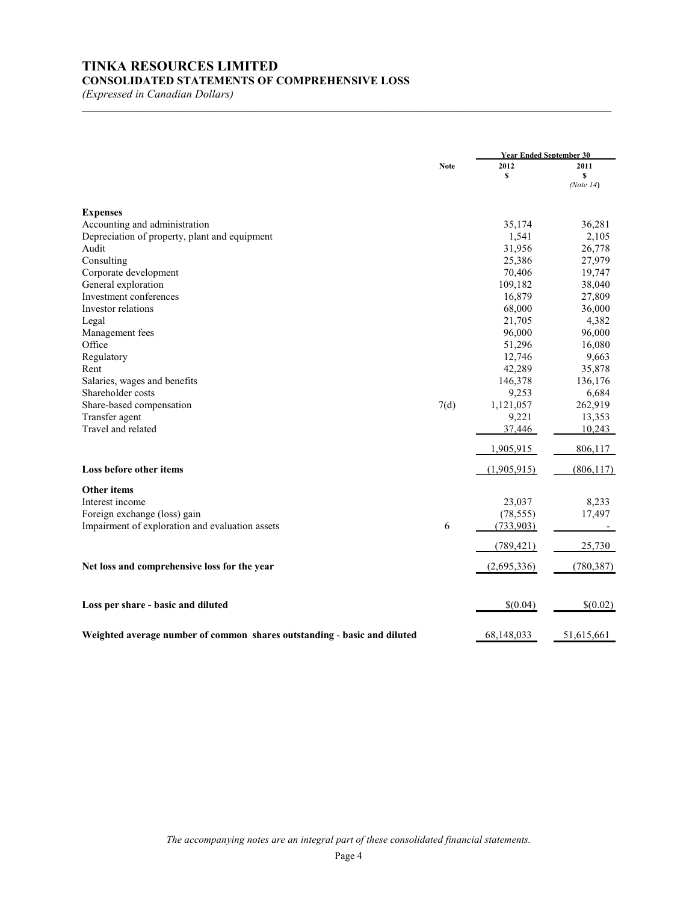# **TINKA RESOURCES LIMITED CONSOLIDATED STATEMENTS OF COMPREHENSIVE LOSS**

*(Expressed in Canadian Dollars)*

|                                                                          |             | <b>Year Ended September 30</b> |                   |  |
|--------------------------------------------------------------------------|-------------|--------------------------------|-------------------|--|
|                                                                          | <b>Note</b> | 2012                           | 2011              |  |
|                                                                          |             | \$                             | S<br>(Note $14$ ) |  |
| <b>Expenses</b>                                                          |             |                                |                   |  |
| Accounting and administration                                            |             | 35,174                         | 36,281            |  |
| Depreciation of property, plant and equipment                            |             | 1,541                          | 2,105             |  |
| Audit                                                                    |             | 31,956                         | 26,778            |  |
| Consulting                                                               |             | 25,386                         | 27,979            |  |
| Corporate development                                                    |             | 70,406                         | 19,747            |  |
| General exploration                                                      |             | 109,182                        | 38,040            |  |
| Investment conferences                                                   |             | 16,879                         | 27,809            |  |
| Investor relations                                                       |             | 68,000                         | 36,000            |  |
| Legal                                                                    |             | 21,705                         | 4,382             |  |
| Management fees                                                          |             | 96,000                         | 96,000            |  |
| Office                                                                   |             | 51,296                         | 16,080            |  |
| Regulatory                                                               |             | 12,746                         | 9,663             |  |
| Rent                                                                     |             | 42,289                         | 35,878            |  |
| Salaries, wages and benefits                                             |             | 146,378                        | 136,176           |  |
| Shareholder costs                                                        |             | 9,253                          | 6,684             |  |
| Share-based compensation                                                 | 7(d)        | 1,121,057                      | 262,919           |  |
| Transfer agent                                                           |             | 9,221                          | 13,353            |  |
| Travel and related                                                       |             | 37,446                         | 10,243            |  |
|                                                                          |             | 1,905,915                      | 806,117           |  |
| Loss before other items                                                  |             | (1,905,915)                    | (806, 117)        |  |
| <b>Other items</b>                                                       |             |                                |                   |  |
| Interest income                                                          |             | 23,037                         | 8,233             |  |
| Foreign exchange (loss) gain                                             |             | (78, 555)                      | 17,497            |  |
| Impairment of exploration and evaluation assets                          | 6           | (733,903)                      |                   |  |
|                                                                          |             | (789, 421)                     | 25,730            |  |
| Net loss and comprehensive loss for the year                             |             | (2,695,336)                    | (780, 387)        |  |
| Loss per share - basic and diluted                                       |             | \$(0.04)                       | \$(0.02)          |  |
| Weighted average number of common shares outstanding - basic and diluted |             | 68,148,033                     | 51,615,661        |  |

 $\mathcal{L}_\text{max} = \mathcal{L}_\text{max} = \mathcal{L}_\text{max} = \mathcal{L}_\text{max} = \mathcal{L}_\text{max} = \mathcal{L}_\text{max} = \mathcal{L}_\text{max} = \mathcal{L}_\text{max} = \mathcal{L}_\text{max} = \mathcal{L}_\text{max} = \mathcal{L}_\text{max} = \mathcal{L}_\text{max} = \mathcal{L}_\text{max} = \mathcal{L}_\text{max} = \mathcal{L}_\text{max} = \mathcal{L}_\text{max} = \mathcal{L}_\text{max} = \mathcal{L}_\text{max} = \mathcal{$ 

*The accompanying notes are an integral part of these consolidated financial statements.*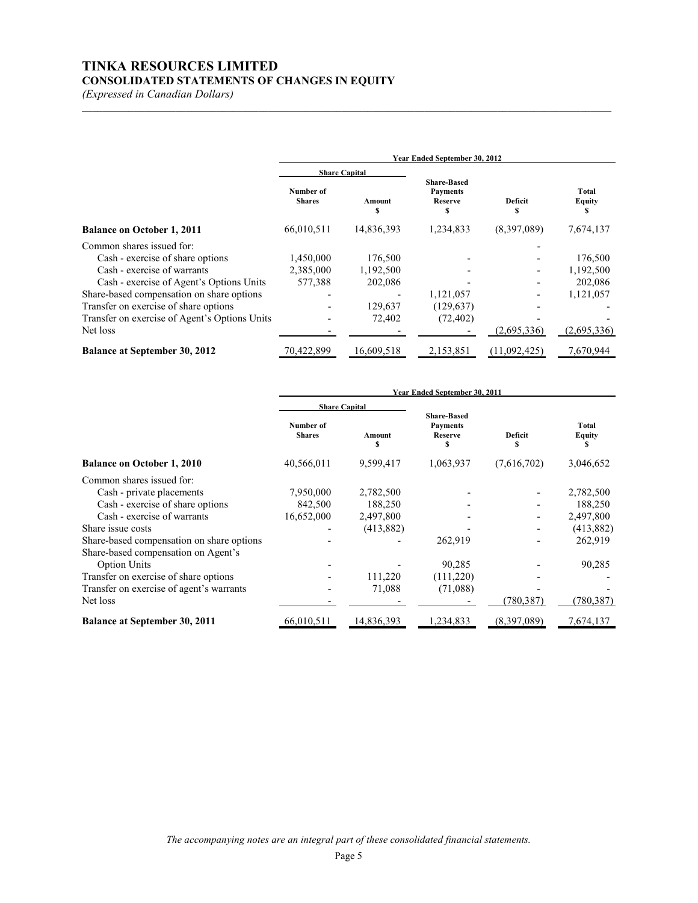# **TINKA RESOURCES LIMITED CONSOLIDATED STATEMENTS OF CHANGES IN EQUITY**

*(Expressed in Canadian Dollars)*

|                                               | <b>Year Ended September 30, 2012</b> |                      |                                                  |              |                        |
|-----------------------------------------------|--------------------------------------|----------------------|--------------------------------------------------|--------------|------------------------|
|                                               |                                      | <b>Share Capital</b> |                                                  |              |                        |
|                                               | Number of<br><b>Shares</b>           | Amount               | <b>Share-Based</b><br><b>Payments</b><br>Reserve | Deficit      | Total<br><b>Equity</b> |
| <b>Balance on October 1, 2011</b>             | 66,010,511                           | 14,836,393           | 1,234,833                                        | (8,397,089)  | 7,674,137              |
| Common shares issued for:                     |                                      |                      |                                                  |              |                        |
| Cash - exercise of share options              | 1,450,000                            | 176,500              |                                                  |              | 176,500                |
| Cash - exercise of warrants                   | 2,385,000                            | 1,192,500            |                                                  |              | 1,192,500              |
| Cash - exercise of Agent's Options Units      | 577,388                              | 202,086              |                                                  |              | 202,086                |
| Share-based compensation on share options     |                                      |                      | 1,121,057                                        |              | 1,121,057              |
| Transfer on exercise of share options         |                                      | 129,637              | (129, 637)                                       |              |                        |
| Transfer on exercise of Agent's Options Units |                                      | 72,402               | (72, 402)                                        |              |                        |
| Net loss                                      |                                      |                      |                                                  | (2,695,336)  | (2,695,336)            |
| <b>Balance at September 30, 2012</b>          | 70,422,899                           | 16,609,518           | 2,153,851                                        | (11,092,425) | 7,670,944              |

 $\mathcal{L}_\text{max} = \mathcal{L}_\text{max} = \mathcal{L}_\text{max} = \mathcal{L}_\text{max} = \mathcal{L}_\text{max} = \mathcal{L}_\text{max} = \mathcal{L}_\text{max} = \mathcal{L}_\text{max} = \mathcal{L}_\text{max} = \mathcal{L}_\text{max} = \mathcal{L}_\text{max} = \mathcal{L}_\text{max} = \mathcal{L}_\text{max} = \mathcal{L}_\text{max} = \mathcal{L}_\text{max} = \mathcal{L}_\text{max} = \mathcal{L}_\text{max} = \mathcal{L}_\text{max} = \mathcal{$ 

|                                           | Year Ended September 30, 2011 |                     |                                                               |               |                               |  |
|-------------------------------------------|-------------------------------|---------------------|---------------------------------------------------------------|---------------|-------------------------------|--|
|                                           | <b>Share Capital</b>          |                     |                                                               |               |                               |  |
|                                           | Number of<br><b>Shares</b>    | <b>Amount</b><br>\$ | <b>Share-Based</b><br><b>Payments</b><br><b>Reserve</b><br>\$ | Deficit<br>\$ | <b>Total</b><br><b>Equity</b> |  |
| <b>Balance on October 1, 2010</b>         | 40,566,011                    | 9,599,417           | 1,063,937                                                     | (7,616,702)   | 3,046,652                     |  |
| Common shares issued for:                 |                               |                     |                                                               |               |                               |  |
| Cash - private placements                 | 7,950,000                     | 2,782,500           |                                                               |               | 2,782,500                     |  |
| Cash - exercise of share options          | 842,500                       | 188,250             |                                                               |               | 188,250                       |  |
| Cash - exercise of warrants               | 16,652,000                    | 2,497,800           |                                                               |               | 2,497,800                     |  |
| Share issue costs                         |                               | (413,882)           |                                                               |               | (413,882)                     |  |
| Share-based compensation on share options |                               |                     | 262,919                                                       |               | 262,919                       |  |
| Share-based compensation on Agent's       |                               |                     |                                                               |               |                               |  |
| <b>Option Units</b>                       |                               |                     | 90,285                                                        |               | 90,285                        |  |
| Transfer on exercise of share options     |                               | 111,220             | (111,220)                                                     |               |                               |  |
| Transfer on exercise of agent's warrants  |                               | 71,088              | (71,088)                                                      |               |                               |  |
| Net loss                                  |                               |                     |                                                               | (780,387)     | (780, 387)                    |  |
| <b>Balance at September 30, 2011</b>      | 66,010,511                    | 14,836,393          | 1,234,833                                                     | (8,397,089)   | 7,674,137                     |  |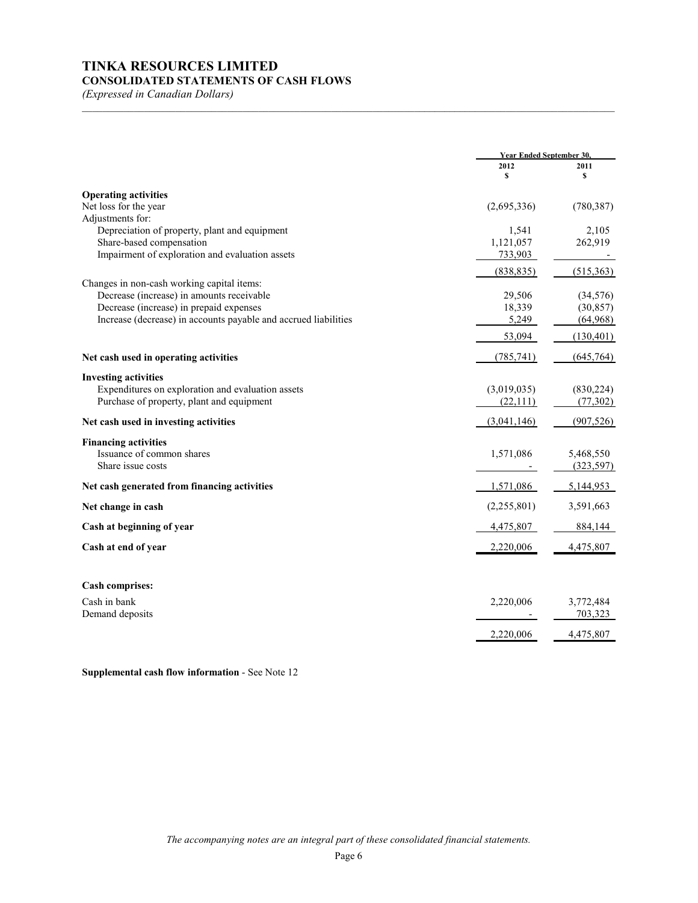# **TINKA RESOURCES LIMITED CONSOLIDATED STATEMENTS OF CASH FLOWS**

*(Expressed in Canadian Dollars)*

|                                                                 | <b>Year Ended September 30.</b> |            |
|-----------------------------------------------------------------|---------------------------------|------------|
|                                                                 | 2012<br>\$                      | 2011<br>s  |
|                                                                 |                                 |            |
| <b>Operating activities</b><br>Net loss for the year            | (2,695,336)                     | (780, 387) |
| Adjustments for:                                                |                                 |            |
| Depreciation of property, plant and equipment                   | 1,541                           | 2,105      |
| Share-based compensation                                        | 1,121,057                       | 262,919    |
| Impairment of exploration and evaluation assets                 | 733,903                         |            |
|                                                                 | (838, 835)                      | (515, 363) |
| Changes in non-cash working capital items:                      |                                 |            |
| Decrease (increase) in amounts receivable                       | 29,506                          | (34, 576)  |
| Decrease (increase) in prepaid expenses                         | 18,339                          | (30, 857)  |
| Increase (decrease) in accounts payable and accrued liabilities | 5,249                           | (64,968)   |
|                                                                 | 53,094                          | (130, 401) |
| Net cash used in operating activities                           | (785, 741)                      | (645, 764) |
| <b>Investing activities</b>                                     |                                 |            |
| Expenditures on exploration and evaluation assets               | (3,019,035)                     | (830, 224) |
| Purchase of property, plant and equipment                       | (22, 111)                       | (77, 302)  |
| Net cash used in investing activities                           | (3,041,146)                     | (907, 526) |
| <b>Financing activities</b>                                     |                                 |            |
| Issuance of common shares                                       | 1,571,086                       | 5,468,550  |
| Share issue costs                                               |                                 | (323, 597) |
| Net cash generated from financing activities                    | 1,571,086                       | 5,144,953  |
| Net change in cash                                              | (2,255,801)                     | 3,591,663  |
| Cash at beginning of year                                       | 4,475,807                       | 884,144    |
| Cash at end of year                                             | 2,220,006                       | 4,475,807  |
|                                                                 |                                 |            |
| <b>Cash comprises:</b>                                          |                                 |            |
| Cash in bank                                                    | 2,220,006                       | 3,772,484  |
| Demand deposits                                                 |                                 | 703,323    |
|                                                                 | 2,220,006                       | 4,475,807  |

\_\_\_\_\_\_\_\_\_\_\_\_\_\_\_\_\_\_\_\_\_\_\_\_\_\_\_\_\_\_\_\_\_\_\_\_\_\_\_\_\_\_\_\_\_\_\_\_\_\_\_\_\_\_\_\_\_\_\_\_\_\_\_\_\_\_\_\_\_\_\_\_\_\_\_\_\_\_\_\_\_\_\_\_\_\_\_\_\_\_\_\_\_\_\_\_\_\_\_\_\_\_\_

**Supplemental cash flow information** - See Note 12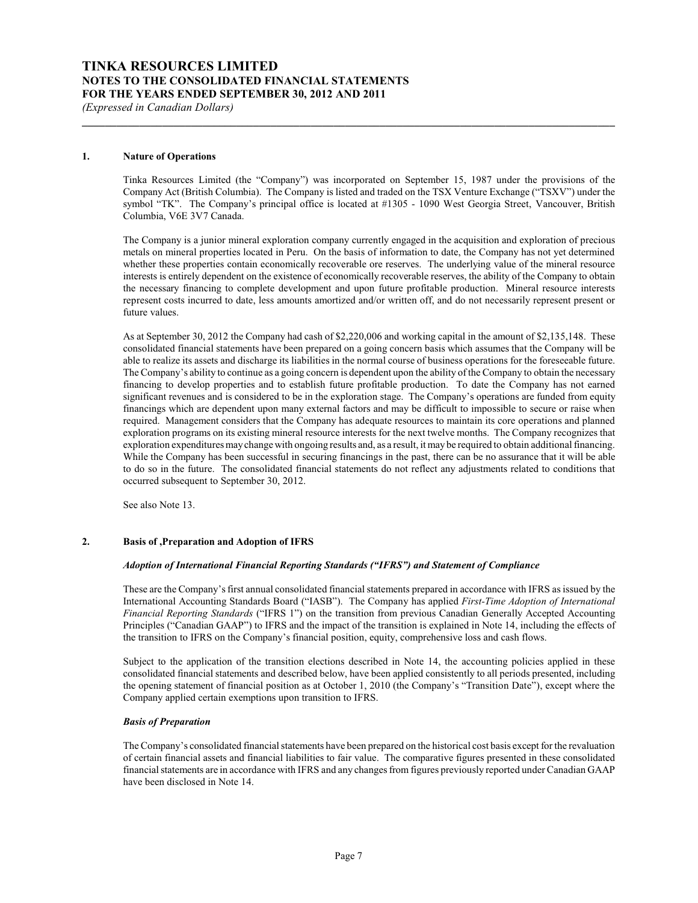#### **1. Nature of Operations**

Tinka Resources Limited (the "Company") was incorporated on September 15, 1987 under the provisions of the Company Act (British Columbia). The Company is listed and traded on the TSX Venture Exchange ("TSXV") under the symbol "TK". The Company's principal office is located at #1305 - 1090 West Georgia Street, Vancouver, British Columbia, V6E 3V7 Canada.

**\_\_\_\_\_\_\_\_\_\_\_\_\_\_\_\_\_\_\_\_\_\_\_\_\_\_\_\_\_\_\_\_\_\_\_\_\_\_\_\_\_\_\_\_\_\_\_\_\_\_\_\_\_\_\_\_\_\_\_\_\_\_\_\_\_\_\_\_\_\_\_\_\_\_\_\_\_\_\_\_\_\_\_\_\_\_\_\_\_\_\_\_\_**

The Company is a junior mineral exploration company currently engaged in the acquisition and exploration of precious metals on mineral properties located in Peru. On the basis of information to date, the Company has not yet determined whether these properties contain economically recoverable ore reserves. The underlying value of the mineral resource interests is entirely dependent on the existence of economically recoverable reserves, the ability of the Company to obtain the necessary financing to complete development and upon future profitable production. Mineral resource interests represent costs incurred to date, less amounts amortized and/or written off, and do not necessarily represent present or future values.

As at September 30, 2012 the Company had cash of \$2,220,006 and working capital in the amount of \$2,135,148. These consolidated financial statements have been prepared on a going concern basis which assumes that the Company will be able to realize its assets and discharge its liabilities in the normal course of business operations for the foreseeable future. The Company's ability to continue as a going concern is dependent upon the ability of the Company to obtain the necessary financing to develop properties and to establish future profitable production. To date the Company has not earned significant revenues and is considered to be in the exploration stage. The Company's operations are funded from equity financings which are dependent upon many external factors and may be difficult to impossible to secure or raise when required. Management considers that the Company has adequate resources to maintain its core operations and planned exploration programs on its existing mineral resource interests for the next twelve months. The Company recognizes that exploration expenditures maychange with ongoing results and, as a result, it may be required to obtain additional financing. While the Company has been successful in securing financings in the past, there can be no assurance that it will be able to do so in the future. The consolidated financial statements do not reflect any adjustments related to conditions that occurred subsequent to September 30, 2012.

See also Note 13.

#### **2. Basis of ,Preparation and Adoption of IFRS**

#### *Adoption of International Financial Reporting Standards ("IFRS") and Statement of Compliance*

These are the Company'sfirst annual consolidated financial statements prepared in accordance with IFRS as issued by the International Accounting Standards Board ("IASB"). The Company has applied *First-Time Adoption of International Financial Reporting Standards* ("IFRS 1") on the transition from previous Canadian Generally Accepted Accounting Principles ("Canadian GAAP") to IFRS and the impact of the transition is explained in Note 14, including the effects of the transition to IFRS on the Company's financial position, equity, comprehensive loss and cash flows.

Subject to the application of the transition elections described in Note 14, the accounting policies applied in these consolidated financial statements and described below, have been applied consistently to all periods presented, including the opening statement of financial position as at October 1, 2010 (the Company's "Transition Date"), except where the Company applied certain exemptions upon transition to IFRS.

#### *Basis of Preparation*

The Company's consolidated financial statements have been prepared on the historical cost basis except for the revaluation of certain financial assets and financial liabilities to fair value. The comparative figures presented in these consolidated financial statements are in accordance with IFRS and any changes from figures previously reported under Canadian GAAP have been disclosed in Note 14.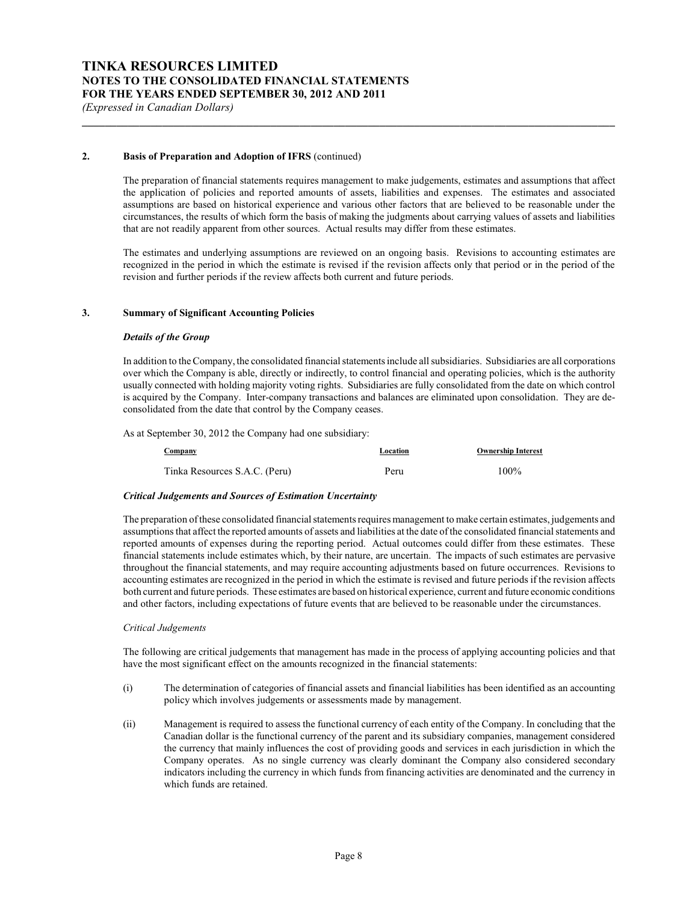#### **2. Basis of Preparation and Adoption of IFRS** (continued)

The preparation of financial statements requires management to make judgements, estimates and assumptions that affect the application of policies and reported amounts of assets, liabilities and expenses. The estimates and associated assumptions are based on historical experience and various other factors that are believed to be reasonable under the circumstances, the results of which form the basis of making the judgments about carrying values of assets and liabilities that are not readily apparent from other sources. Actual results may differ from these estimates.

**\_\_\_\_\_\_\_\_\_\_\_\_\_\_\_\_\_\_\_\_\_\_\_\_\_\_\_\_\_\_\_\_\_\_\_\_\_\_\_\_\_\_\_\_\_\_\_\_\_\_\_\_\_\_\_\_\_\_\_\_\_\_\_\_\_\_\_\_\_\_\_\_\_\_\_\_\_\_\_\_\_\_\_\_\_\_\_\_\_\_\_\_\_**

The estimates and underlying assumptions are reviewed on an ongoing basis. Revisions to accounting estimates are recognized in the period in which the estimate is revised if the revision affects only that period or in the period of the revision and further periods if the review affects both current and future periods.

#### **3. Summary of Significant Accounting Policies**

#### *Details of the Group*

In addition to the Company, the consolidated financial statements include all subsidiaries. Subsidiaries are all corporations over which the Company is able, directly or indirectly, to control financial and operating policies, which is the authority usually connected with holding majority voting rights. Subsidiaries are fully consolidated from the date on which control is acquired by the Company. Inter-company transactions and balances are eliminated upon consolidation. They are deconsolidated from the date that control by the Company ceases.

As at September 30, 2012 the Company had one subsidiary:

| Company                       | Location | <b>Ownership Interest</b> |
|-------------------------------|----------|---------------------------|
| Tinka Resources S.A.C. (Peru) | Peru     | $100\%$                   |

#### *Critical Judgements and Sources of Estimation Uncertainty*

The preparation of these consolidated financial statements requires management to make certain estimates, judgements and assumptions that affect the reported amounts of assets and liabilities at the date of the consolidated financial statements and reported amounts of expenses during the reporting period. Actual outcomes could differ from these estimates. These financial statements include estimates which, by their nature, are uncertain. The impacts of such estimates are pervasive throughout the financial statements, and may require accounting adjustments based on future occurrences. Revisions to accounting estimates are recognized in the period in which the estimate is revised and future periods if the revision affects both current and future periods. These estimates are based on historical experience, current and future economic conditions and other factors, including expectations of future events that are believed to be reasonable under the circumstances.

#### *Critical Judgements*

The following are critical judgements that management has made in the process of applying accounting policies and that have the most significant effect on the amounts recognized in the financial statements:

- (i) The determination of categories of financial assets and financial liabilities has been identified as an accounting policy which involves judgements or assessments made by management.
- (ii) Management is required to assess the functional currency of each entity of the Company. In concluding that the Canadian dollar is the functional currency of the parent and its subsidiary companies, management considered the currency that mainly influences the cost of providing goods and services in each jurisdiction in which the Company operates. As no single currency was clearly dominant the Company also considered secondary indicators including the currency in which funds from financing activities are denominated and the currency in which funds are retained.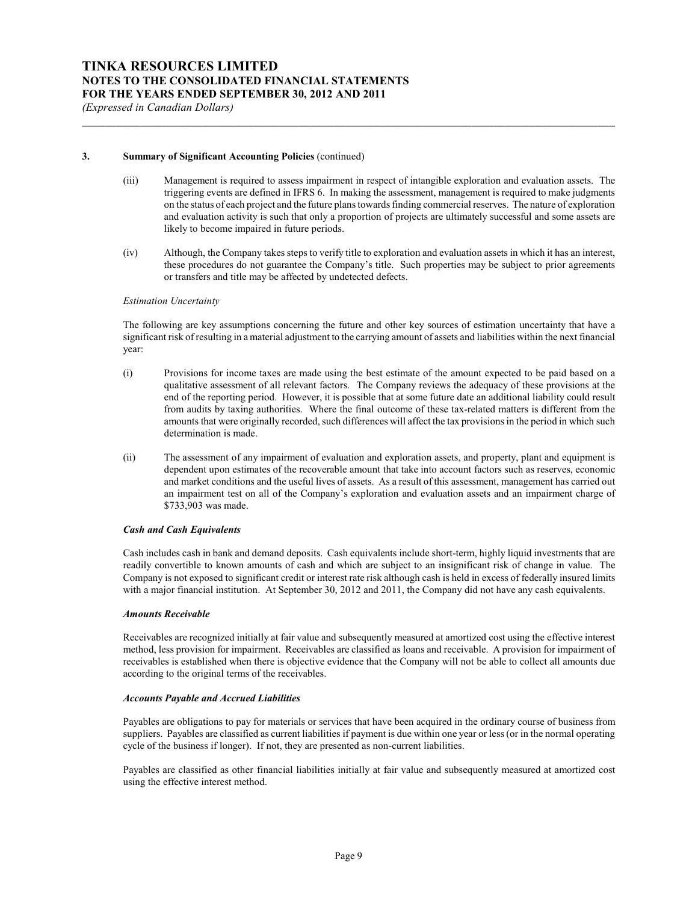#### **3. Summary of Significant Accounting Policies** (continued)

(iii) Management is required to assess impairment in respect of intangible exploration and evaluation assets. The triggering events are defined in IFRS 6. In making the assessment, management is required to make judgments on the status of each project and the future plans towards finding commercial reserves. The nature of exploration and evaluation activity is such that only a proportion of projects are ultimately successful and some assets are likely to become impaired in future periods.

**\_\_\_\_\_\_\_\_\_\_\_\_\_\_\_\_\_\_\_\_\_\_\_\_\_\_\_\_\_\_\_\_\_\_\_\_\_\_\_\_\_\_\_\_\_\_\_\_\_\_\_\_\_\_\_\_\_\_\_\_\_\_\_\_\_\_\_\_\_\_\_\_\_\_\_\_\_\_\_\_\_\_\_\_\_\_\_\_\_\_\_\_\_**

(iv) Although, the Company takes steps to verify title to exploration and evaluation assets in which it has an interest, these procedures do not guarantee the Company's title. Such properties may be subject to prior agreements or transfers and title may be affected by undetected defects.

#### *Estimation Uncertainty*

The following are key assumptions concerning the future and other key sources of estimation uncertainty that have a significant risk of resulting in a material adjustment to the carrying amount of assets and liabilities within the next financial year:

- (i) Provisions for income taxes are made using the best estimate of the amount expected to be paid based on a qualitative assessment of all relevant factors. The Company reviews the adequacy of these provisions at the end of the reporting period. However, it is possible that at some future date an additional liability could result from audits by taxing authorities. Where the final outcome of these tax-related matters is different from the amounts that were originally recorded, such differences will affect the tax provisions in the period in which such determination is made.
- (ii) The assessment of any impairment of evaluation and exploration assets, and property, plant and equipment is dependent upon estimates of the recoverable amount that take into account factors such as reserves, economic and market conditions and the useful lives of assets. As a result of this assessment, management has carried out an impairment test on all of the Company's exploration and evaluation assets and an impairment charge of \$733,903 was made.

#### *Cash and Cash Equivalents*

Cash includes cash in bank and demand deposits. Cash equivalents include short-term, highly liquid investments that are readily convertible to known amounts of cash and which are subject to an insignificant risk of change in value. The Company is not exposed to significant credit or interest rate risk although cash is held in excess of federally insured limits with a major financial institution. At September 30, 2012 and 2011, the Company did not have any cash equivalents.

#### *Amounts Receivable*

Receivables are recognized initially at fair value and subsequently measured at amortized cost using the effective interest method, less provision for impairment. Receivables are classified as loans and receivable. A provision for impairment of receivables is established when there is objective evidence that the Company will not be able to collect all amounts due according to the original terms of the receivables.

#### *Accounts Payable and Accrued Liabilities*

Payables are obligations to pay for materials or services that have been acquired in the ordinary course of business from suppliers. Payables are classified as current liabilities if payment is due within one year or less (or in the normal operating cycle of the business if longer). If not, they are presented as non-current liabilities.

Payables are classified as other financial liabilities initially at fair value and subsequently measured at amortized cost using the effective interest method.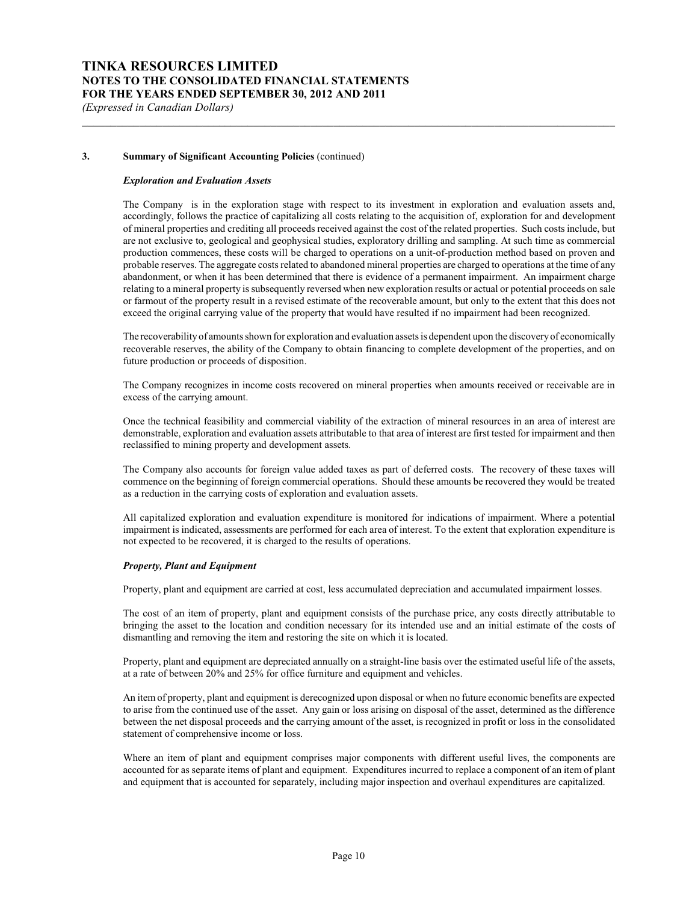#### **3. Summary of Significant Accounting Policies** (continued)

#### *Exploration and Evaluation Assets*

The Company is in the exploration stage with respect to its investment in exploration and evaluation assets and, accordingly, follows the practice of capitalizing all costs relating to the acquisition of, exploration for and development of mineral properties and crediting all proceeds received against the cost of the related properties. Such costs include, but are not exclusive to, geological and geophysical studies, exploratory drilling and sampling. At such time as commercial production commences, these costs will be charged to operations on a unit-of-production method based on proven and probable reserves. The aggregate costs related to abandoned mineral properties are charged to operations at the time of any abandonment, or when it has been determined that there is evidence of a permanent impairment. An impairment charge relating to a mineral property is subsequently reversed when new exploration results or actual or potential proceeds on sale or farmout of the property result in a revised estimate of the recoverable amount, but only to the extent that this does not exceed the original carrying value of the property that would have resulted if no impairment had been recognized.

**\_\_\_\_\_\_\_\_\_\_\_\_\_\_\_\_\_\_\_\_\_\_\_\_\_\_\_\_\_\_\_\_\_\_\_\_\_\_\_\_\_\_\_\_\_\_\_\_\_\_\_\_\_\_\_\_\_\_\_\_\_\_\_\_\_\_\_\_\_\_\_\_\_\_\_\_\_\_\_\_\_\_\_\_\_\_\_\_\_\_\_\_\_**

The recoverability of amounts shown for exploration and evaluation assets is dependent upon the discoveryof economically recoverable reserves, the ability of the Company to obtain financing to complete development of the properties, and on future production or proceeds of disposition.

The Company recognizes in income costs recovered on mineral properties when amounts received or receivable are in excess of the carrying amount.

Once the technical feasibility and commercial viability of the extraction of mineral resources in an area of interest are demonstrable, exploration and evaluation assets attributable to that area of interest are first tested for impairment and then reclassified to mining property and development assets.

The Company also accounts for foreign value added taxes as part of deferred costs. The recovery of these taxes will commence on the beginning of foreign commercial operations. Should these amounts be recovered they would be treated as a reduction in the carrying costs of exploration and evaluation assets.

All capitalized exploration and evaluation expenditure is monitored for indications of impairment. Where a potential impairment is indicated, assessments are performed for each area of interest. To the extent that exploration expenditure is not expected to be recovered, it is charged to the results of operations.

#### *Property, Plant and Equipment*

Property, plant and equipment are carried at cost, less accumulated depreciation and accumulated impairment losses.

The cost of an item of property, plant and equipment consists of the purchase price, any costs directly attributable to bringing the asset to the location and condition necessary for its intended use and an initial estimate of the costs of dismantling and removing the item and restoring the site on which it is located.

Property, plant and equipment are depreciated annually on a straight-line basis over the estimated useful life of the assets, at a rate of between 20% and 25% for office furniture and equipment and vehicles.

An itemof property, plant and equipment is derecognized upon disposal or when no future economic benefits are expected to arise from the continued use of the asset. Any gain or loss arising on disposal of the asset, determined as the difference between the net disposal proceeds and the carrying amount of the asset, is recognized in profit or loss in the consolidated statement of comprehensive income or loss.

Where an item of plant and equipment comprises major components with different useful lives, the components are accounted for as separate items of plant and equipment. Expenditures incurred to replace a component of an item of plant and equipment that is accounted for separately, including major inspection and overhaul expenditures are capitalized.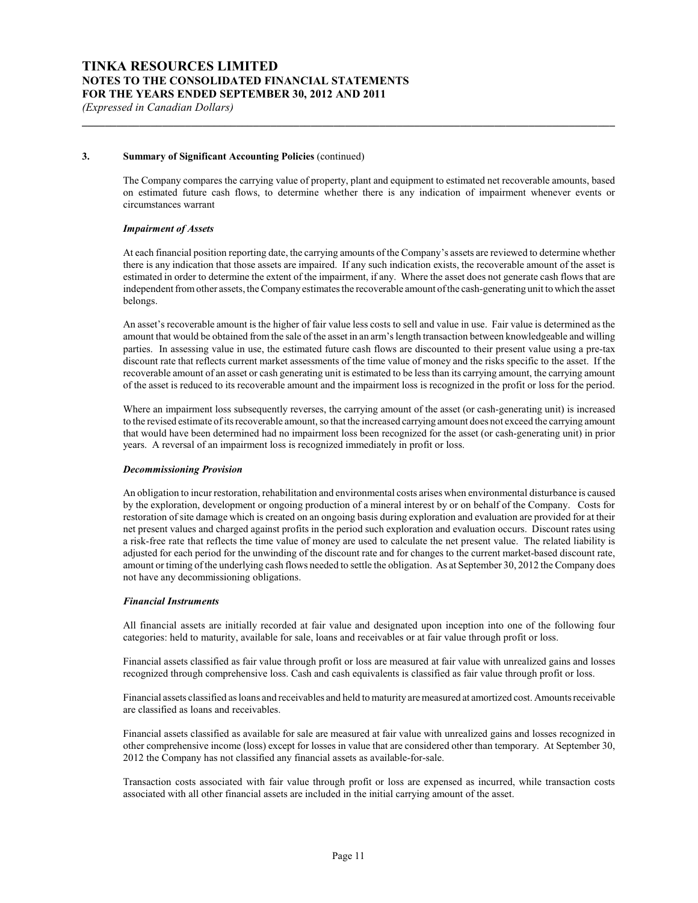#### **3. Summary of Significant Accounting Policies** (continued)

The Company compares the carrying value of property, plant and equipment to estimated net recoverable amounts, based on estimated future cash flows, to determine whether there is any indication of impairment whenever events or circumstances warrant

**\_\_\_\_\_\_\_\_\_\_\_\_\_\_\_\_\_\_\_\_\_\_\_\_\_\_\_\_\_\_\_\_\_\_\_\_\_\_\_\_\_\_\_\_\_\_\_\_\_\_\_\_\_\_\_\_\_\_\_\_\_\_\_\_\_\_\_\_\_\_\_\_\_\_\_\_\_\_\_\_\_\_\_\_\_\_\_\_\_\_\_\_\_**

#### *Impairment of Assets*

At each financial position reporting date, the carrying amounts of the Company's assets are reviewed to determine whether there is any indication that those assets are impaired. If any such indication exists, the recoverable amount of the asset is estimated in order to determine the extent of the impairment, if any. Where the asset does not generate cash flows that are independent from other assets, the Company estimates the recoverable amount of the cash-generating unit to which the asset belongs.

An asset's recoverable amount is the higher of fair value less costs to sell and value in use. Fair value is determined as the amount that would be obtained from the sale of the asset in an arm's length transaction between knowledgeable and willing parties. In assessing value in use, the estimated future cash flows are discounted to their present value using a pre-tax discount rate that reflects current market assessments of the time value of money and the risks specific to the asset. If the recoverable amount of an asset or cash generating unit is estimated to be less than its carrying amount, the carrying amount of the asset is reduced to its recoverable amount and the impairment loss is recognized in the profit or loss for the period.

Where an impairment loss subsequently reverses, the carrying amount of the asset (or cash-generating unit) is increased to the revised estimate of its recoverable amount, so that the increased carrying amount does not exceed the carrying amount that would have been determined had no impairment loss been recognized for the asset (or cash-generating unit) in prior years. A reversal of an impairment loss is recognized immediately in profit or loss.

#### *Decommissioning Provision*

An obligation to incur restoration, rehabilitation and environmental costs arises when environmental disturbance is caused by the exploration, development or ongoing production of a mineral interest by or on behalf of the Company. Costs for restoration of site damage which is created on an ongoing basis during exploration and evaluation are provided for at their net present values and charged against profits in the period such exploration and evaluation occurs. Discount rates using a risk-free rate that reflects the time value of money are used to calculate the net present value. The related liability is adjusted for each period for the unwinding of the discount rate and for changes to the current market-based discount rate, amount or timing of the underlying cash flows needed to settle the obligation. As at September 30, 2012 the Company does not have any decommissioning obligations.

#### *Financial Instruments*

All financial assets are initially recorded at fair value and designated upon inception into one of the following four categories: held to maturity, available for sale, loans and receivables or at fair value through profit or loss.

Financial assets classified as fair value through profit or loss are measured at fair value with unrealized gains and losses recognized through comprehensive loss. Cash and cash equivalents is classified as fair value through profit or loss.

Financial assets classified as loans and receivables and held to maturity are measured at amortized cost. Amounts receivable are classified as loans and receivables.

Financial assets classified as available for sale are measured at fair value with unrealized gains and losses recognized in other comprehensive income (loss) except for losses in value that are considered other than temporary. At September 30, 2012 the Company has not classified any financial assets as available-for-sale.

Transaction costs associated with fair value through profit or loss are expensed as incurred, while transaction costs associated with all other financial assets are included in the initial carrying amount of the asset.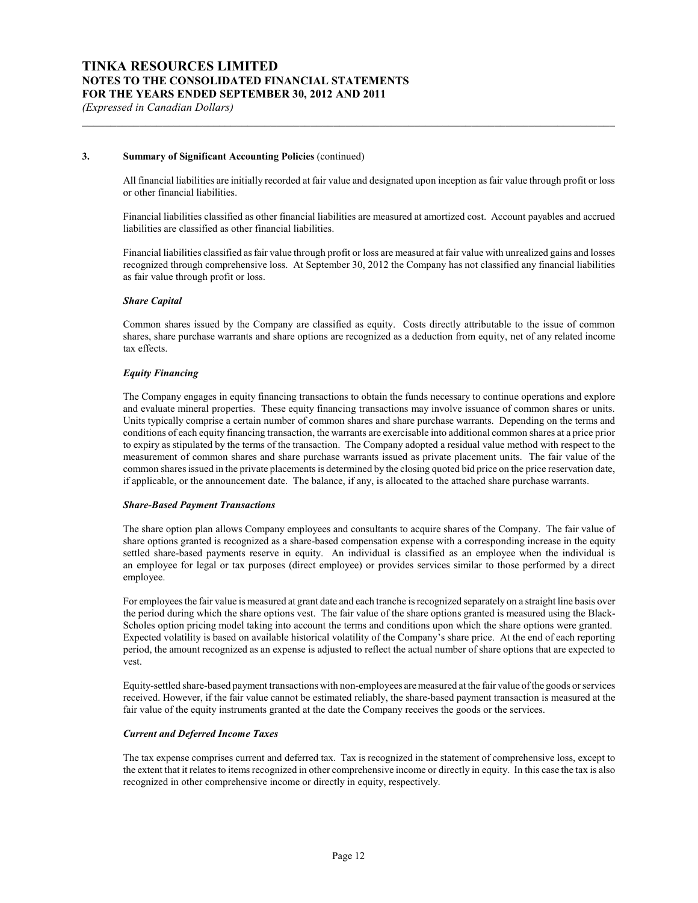#### **3. Summary of Significant Accounting Policies** (continued)

All financial liabilities are initially recorded at fair value and designated upon inception as fair value through profit or loss or other financial liabilities.

**\_\_\_\_\_\_\_\_\_\_\_\_\_\_\_\_\_\_\_\_\_\_\_\_\_\_\_\_\_\_\_\_\_\_\_\_\_\_\_\_\_\_\_\_\_\_\_\_\_\_\_\_\_\_\_\_\_\_\_\_\_\_\_\_\_\_\_\_\_\_\_\_\_\_\_\_\_\_\_\_\_\_\_\_\_\_\_\_\_\_\_\_\_**

Financial liabilities classified as other financial liabilities are measured at amortized cost. Account payables and accrued liabilities are classified as other financial liabilities.

Financial liabilities classified as fair value through profit or loss are measured at fair value with unrealized gains and losses recognized through comprehensive loss. At September 30, 2012 the Company has not classified any financial liabilities as fair value through profit or loss.

#### *Share Capital*

Common shares issued by the Company are classified as equity. Costs directly attributable to the issue of common shares, share purchase warrants and share options are recognized as a deduction from equity, net of any related income tax effects.

#### *Equity Financing*

The Company engages in equity financing transactions to obtain the funds necessary to continue operations and explore and evaluate mineral properties. These equity financing transactions may involve issuance of common shares or units. Units typically comprise a certain number of common shares and share purchase warrants. Depending on the terms and conditions of each equity financing transaction, the warrants are exercisable into additional common shares at a price prior to expiry as stipulated by the terms of the transaction. The Company adopted a residual value method with respect to the measurement of common shares and share purchase warrants issued as private placement units. The fair value of the common shares issued in the private placements is determined by the closing quoted bid price on the price reservation date, if applicable, or the announcement date. The balance, if any, is allocated to the attached share purchase warrants.

#### *Share-Based Payment Transactions*

The share option plan allows Company employees and consultants to acquire shares of the Company. The fair value of share options granted is recognized as a share-based compensation expense with a corresponding increase in the equity settled share-based payments reserve in equity. An individual is classified as an employee when the individual is an employee for legal or tax purposes (direct employee) or provides services similar to those performed by a direct employee.

For employees the fair value is measured at grant date and each tranche is recognized separately on a straight line basis over the period during which the share options vest. The fair value of the share options granted is measured using the Black-Scholes option pricing model taking into account the terms and conditions upon which the share options were granted. Expected volatility is based on available historical volatility of the Company's share price. At the end of each reporting period, the amount recognized as an expense is adjusted to reflect the actual number of share options that are expected to vest.

Equity-settled share-based payment transactions with non-employees are measured at the fair value of the goods or services received. However, if the fair value cannot be estimated reliably, the share-based payment transaction is measured at the fair value of the equity instruments granted at the date the Company receives the goods or the services.

#### *Current and Deferred Income Taxes*

The tax expense comprises current and deferred tax. Tax is recognized in the statement of comprehensive loss, except to the extent that it relates to items recognized in other comprehensive income or directly in equity. In this case the tax is also recognized in other comprehensive income or directly in equity, respectively.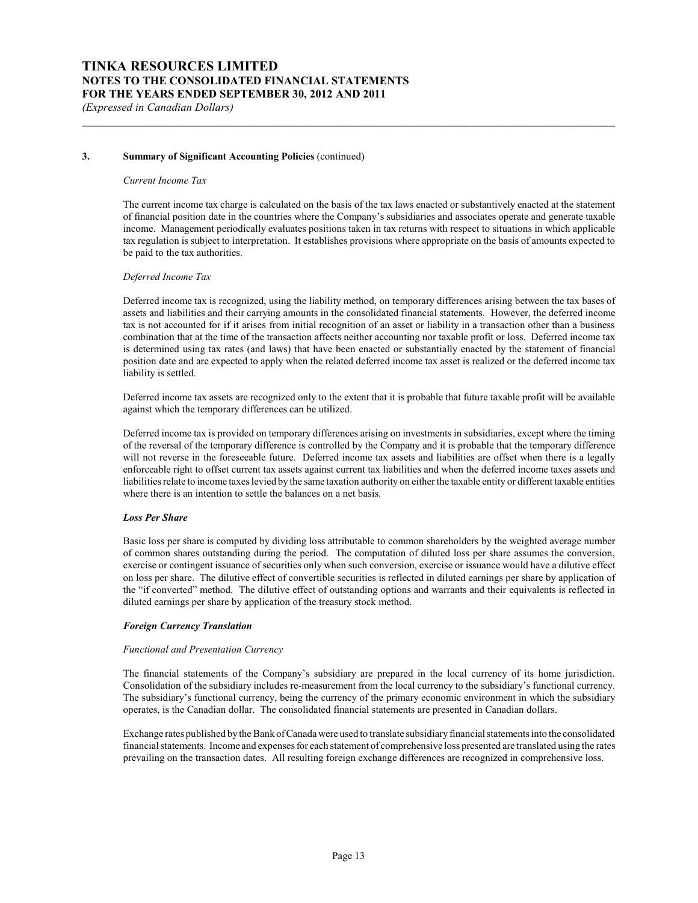#### **3. Summary of Significant Accounting Policies** (continued)

#### *Current Income Tax*

The current income tax charge is calculated on the basis of the tax laws enacted or substantively enacted at the statement of financial position date in the countries where the Company's subsidiaries and associates operate and generate taxable income. Management periodically evaluates positions taken in tax returns with respect to situations in which applicable tax regulation is subject to interpretation. It establishes provisions where appropriate on the basis of amounts expected to be paid to the tax authorities.

**\_\_\_\_\_\_\_\_\_\_\_\_\_\_\_\_\_\_\_\_\_\_\_\_\_\_\_\_\_\_\_\_\_\_\_\_\_\_\_\_\_\_\_\_\_\_\_\_\_\_\_\_\_\_\_\_\_\_\_\_\_\_\_\_\_\_\_\_\_\_\_\_\_\_\_\_\_\_\_\_\_\_\_\_\_\_\_\_\_\_\_\_\_**

#### *Deferred Income Tax*

Deferred income tax is recognized, using the liability method, on temporary differences arising between the tax bases of assets and liabilities and their carrying amounts in the consolidated financial statements. However, the deferred income tax is not accounted for if it arises from initial recognition of an asset or liability in a transaction other than a business combination that at the time of the transaction affects neither accounting nor taxable profit or loss. Deferred income tax is determined using tax rates (and laws) that have been enacted or substantially enacted by the statement of financial position date and are expected to apply when the related deferred income tax asset is realized or the deferred income tax liability is settled.

Deferred income tax assets are recognized only to the extent that it is probable that future taxable profit will be available against which the temporary differences can be utilized.

Deferred income tax is provided on temporary differences arising on investments in subsidiaries, except where the timing of the reversal of the temporary difference is controlled by the Company and it is probable that the temporary difference will not reverse in the foreseeable future. Deferred income tax assets and liabilities are offset when there is a legally enforceable right to offset current tax assets against current tax liabilities and when the deferred income taxes assets and liabilities relate to income taxes levied by the same taxation authority on either the taxable entity or different taxable entities where there is an intention to settle the balances on a net basis.

#### *Loss Per Share*

Basic loss per share is computed by dividing loss attributable to common shareholders by the weighted average number of common shares outstanding during the period. The computation of diluted loss per share assumes the conversion, exercise or contingent issuance of securities only when such conversion, exercise or issuance would have a dilutive effect on loss per share. The dilutive effect of convertible securities is reflected in diluted earnings per share by application of the "if converted" method. The dilutive effect of outstanding options and warrants and their equivalents is reflected in diluted earnings per share by application of the treasury stock method.

#### *Foreign Currency Translation*

#### *Functional and Presentation Currency*

The financial statements of the Company's subsidiary are prepared in the local currency of its home jurisdiction. Consolidation of the subsidiary includes re-measurement from the local currency to the subsidiary's functional currency. The subsidiary's functional currency, being the currency of the primary economic environment in which the subsidiary operates, is the Canadian dollar. The consolidated financial statements are presented in Canadian dollars.

Exchange rates published by the Bank of Canada were used to translate subsidiaryfinancial statements into the consolidated financial statements. Income and expenses for each statement of comprehensive loss presented are translated using the rates prevailing on the transaction dates. All resulting foreign exchange differences are recognized in comprehensive loss.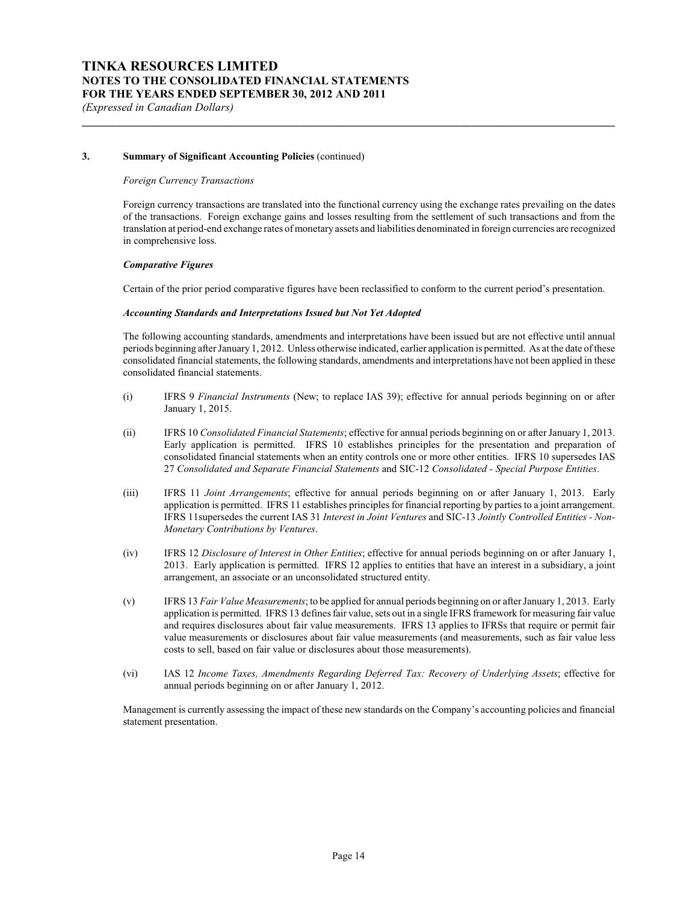#### **3. Summary of Significant Accounting Policies** (continued)

#### *Foreign Currency Transactions*

Foreign currency transactions are translated into the functional currency using the exchange rates prevailing on the dates of the transactions. Foreign exchange gains and losses resulting from the settlement of such transactions and from the translation at period-end exchange rates of monetary assets and liabilities denominated in foreign currencies are recognized in comprehensive loss.

**\_\_\_\_\_\_\_\_\_\_\_\_\_\_\_\_\_\_\_\_\_\_\_\_\_\_\_\_\_\_\_\_\_\_\_\_\_\_\_\_\_\_\_\_\_\_\_\_\_\_\_\_\_\_\_\_\_\_\_\_\_\_\_\_\_\_\_\_\_\_\_\_\_\_\_\_\_\_\_\_\_\_\_\_\_\_\_\_\_\_\_\_\_**

#### *Comparative Figures*

Certain of the prior period comparative figures have been reclassified to conform to the current period's presentation.

#### *Accounting Standards and Interpretations Issued but Not Yet Adopted*

The following accounting standards, amendments and interpretations have been issued but are not effective until annual periods beginning after January 1, 2012. Unless otherwise indicated, earlier application is permitted. As at the date of these consolidated financial statements, the following standards, amendments and interpretations have not been applied in these consolidated financial statements.

- (i) IFRS 9 *Financial Instruments* (New; to replace IAS 39); effective for annual periods beginning on or after January 1, 2015.
- (ii) IFRS 10 *Consolidated Financial Statements*; effective for annual periods beginning on or after January 1, 2013. Early application is permitted. IFRS 10 establishes principles for the presentation and preparation of consolidated financial statements when an entity controls one or more other entities. IFRS 10 supersedes IAS 27 *Consolidated and Separate Financial Statements* and SIC-12 *Consolidated - Special Purpose Entities*.
- (iii) IFRS 11 *Joint Arrangements*; effective for annual periods beginning on or after January 1, 2013. Early application is permitted. IFRS 11 establishes principles for financial reporting by parties to a joint arrangement. IFRS 11supersedes the current IAS 31 *Interest in Joint Ventures* and SIC-13 *Jointly Controlled Entities - Non-Monetary Contributions by Ventures*.
- (iv) IFRS 12 *Disclosure of Interest in Other Entities*; effective for annual periods beginning on or after January 1, 2013. Early application is permitted. IFRS 12 applies to entities that have an interest in a subsidiary, a joint arrangement, an associate or an unconsolidated structured entity.
- (v) IFRS 13 *Fair Value Measurements*; to be applied for annual periods beginning on or after January 1, 2013. Early application is permitted. IFRS 13 defines fair value, sets out in a single IFRS framework for measuring fair value and requires disclosures about fair value measurements. IFRS 13 applies to IFRSs that require or permit fair value measurements or disclosures about fair value measurements (and measurements, such as fair value less costs to sell, based on fair value or disclosures about those measurements).
- (vi) IAS 12 *Income Taxes, Amendments Regarding Deferred Tax: Recovery of Underlying Assets*; effective for annual periods beginning on or after January 1, 2012.

Management is currently assessing the impact of these new standards on the Company's accounting policies and financial statement presentation.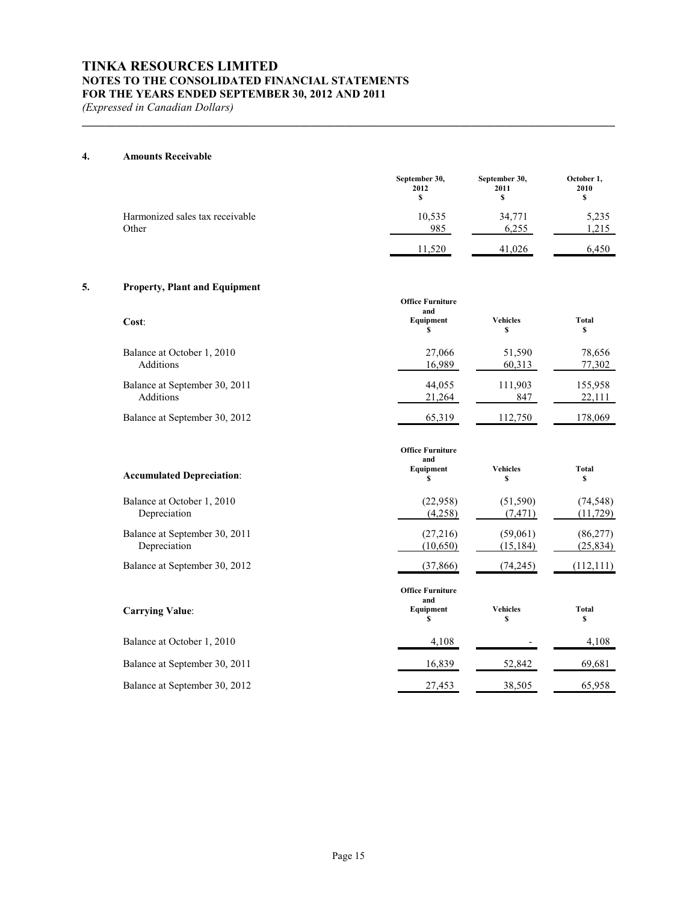*(Expressed in Canadian Dollars)*

#### **4. Amounts Receivable**

|                                 | September 30, | September 30, | October 1, |
|---------------------------------|---------------|---------------|------------|
|                                 | 2012          | 2011          | 2010       |
|                                 | s             | S             | S          |
| Harmonized sales tax receivable | 10,535        | 34,771        | 5,235      |
| Other                           | 985           | 6,255         | 1,215      |
|                                 | 11,520        | 41,026        | 6,450      |

**\_\_\_\_\_\_\_\_\_\_\_\_\_\_\_\_\_\_\_\_\_\_\_\_\_\_\_\_\_\_\_\_\_\_\_\_\_\_\_\_\_\_\_\_\_\_\_\_\_\_\_\_\_\_\_\_\_\_\_\_\_\_\_\_\_\_\_\_\_\_\_\_\_\_\_\_\_\_\_\_\_\_\_\_\_\_\_\_\_\_\_\_\_**

### **5. Property, Plant and Equipment**

| Cost:                         | <b>Office Furniture</b><br>and<br>Equipment<br>S | Vehicles<br>\$ | Total<br>\$ |
|-------------------------------|--------------------------------------------------|----------------|-------------|
| Balance at October 1, 2010    | 27,066                                           | 51,590         | 78,656      |
| Additions                     | 16,989                                           | 60,313         | 77,302      |
| Balance at September 30, 2011 | 44,055                                           | 111,903        | 155,958     |
| Additions                     | 21,264                                           | 847            | 22,111      |
| Balance at September 30, 2012 | 65,319                                           | 112,750        | 178,069     |

|                                               | <b>Office Furniture</b><br>and |                       |                        |  |  |
|-----------------------------------------------|--------------------------------|-----------------------|------------------------|--|--|
| <b>Accumulated Depreciation:</b>              | Equipment                      | <b>Vehicles</b><br>\$ | Total<br>\$            |  |  |
| Balance at October 1, 2010<br>Depreciation    | (22,958)<br>(4,258)            | (51, 590)<br>(7, 471) | (74, 548)<br>(11, 729) |  |  |
| Balance at September 30, 2011<br>Depreciation | (27,216)<br>(10,650)           | (59,061)<br>(15, 184) | (86,277)<br>(25, 834)  |  |  |
| Balance at September 30, 2012                 | (37, 866)                      | (74,245)              | (112, 111)             |  |  |

| <b>Carrying Value:</b>        | <b>Office Furniture</b><br>and<br>Equipment | Vehicles<br>S            | Total<br>\$ |
|-------------------------------|---------------------------------------------|--------------------------|-------------|
| Balance at October 1, 2010    | 4,108                                       | $\overline{\phantom{0}}$ | 4,108       |
| Balance at September 30, 2011 | 16,839                                      | 52,842                   | 69,681      |
| Balance at September 30, 2012 | 27,453                                      | 38,505                   | 65,958      |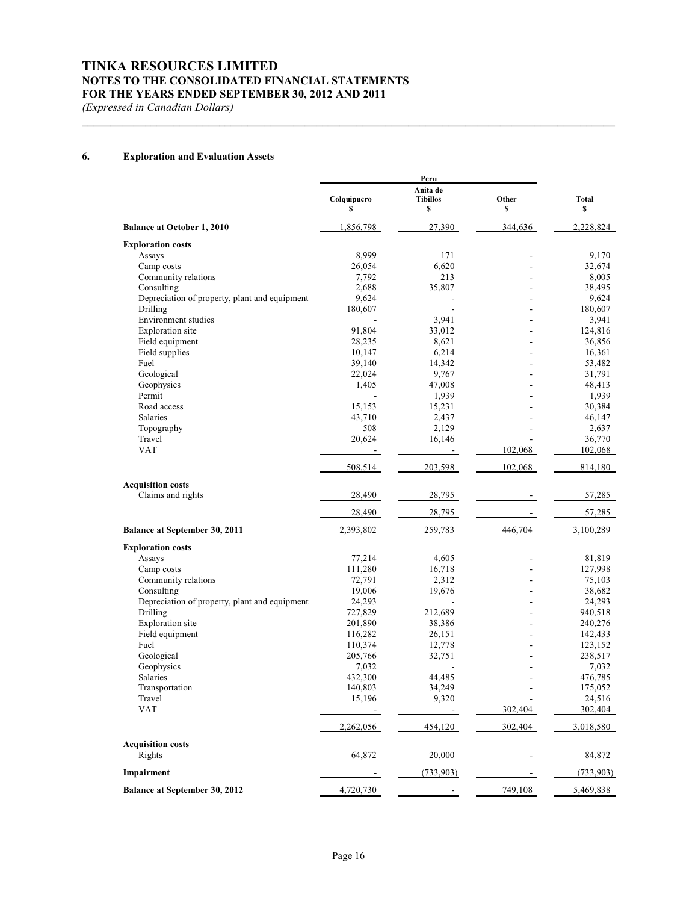*(Expressed in Canadian Dollars)*

### **6. Exploration and Evaluation Assets**

|                                               |                   | Peru                  |                          |                    |
|-----------------------------------------------|-------------------|-----------------------|--------------------------|--------------------|
|                                               |                   | Anita de              |                          |                    |
|                                               | Colquipucro<br>\$ | <b>Tibillos</b><br>\$ | Other<br>\$              | <b>Total</b><br>\$ |
| <b>Balance at October 1, 2010</b>             | 1,856,798         | 27,390                | 344,636                  | 2,228,824          |
| <b>Exploration costs</b>                      |                   |                       |                          |                    |
| Assays                                        | 8.999             | 171                   |                          | 9,170              |
| Camp costs                                    | 26,054            | 6,620                 |                          | 32,674             |
| Community relations                           | 7,792             | 213                   |                          | 8,005              |
| Consulting                                    | 2,688             | 35,807                |                          | 38,495             |
| Depreciation of property, plant and equipment | 9,624             |                       |                          | 9,624              |
| Drilling                                      | 180,607           |                       |                          | 180,607            |
| <b>Environment</b> studies                    |                   | 3,941                 |                          | 3,941              |
| <b>Exploration</b> site                       | 91,804            | 33,012                |                          | 124,816            |
| Field equipment                               | 28,235            | 8,621                 | ÷                        | 36,856             |
| Field supplies                                | 10,147            | 6,214                 |                          | 16,361             |
| Fuel                                          | 39,140            | 14,342                |                          | 53,482             |
| Geological                                    | 22,024            | 9,767                 |                          | 31,791             |
| Geophysics                                    | 1,405             | 47,008                |                          | 48,413             |
| Permit                                        |                   | 1,939                 |                          | 1,939              |
| Road access                                   | 15,153            | 15,231                |                          | 30,384             |
| Salaries                                      | 43,710            | 2,437                 |                          | 46,147             |
| Topography                                    | 508               | 2,129                 |                          | 2,637              |
| Travel                                        | 20,624            | 16,146                |                          | 36,770             |
| VAT                                           |                   |                       | 102,068                  | 102,068            |
|                                               | 508,514           | 203,598               | 102,068                  | 814,180            |
| <b>Acquisition costs</b>                      |                   |                       |                          |                    |
| Claims and rights                             | 28,490            | 28,795                |                          | 57,285             |
|                                               | 28,490            | 28,795                |                          | 57,285             |
| Balance at September 30, 2011                 | 2,393,802         | 259,783               | 446,704                  | 3,100,289          |
| <b>Exploration costs</b>                      |                   |                       |                          |                    |
| Assays                                        | 77,214            | 4,605                 |                          | 81,819             |
| Camp costs                                    | 111,280           | 16,718                |                          | 127,998            |
| Community relations                           | 72,791            | 2,312                 |                          | 75,103             |
| Consulting                                    | 19,006            | 19,676                |                          | 38,682             |
| Depreciation of property, plant and equipment | 24,293            |                       |                          | 24,293             |
| Drilling                                      | 727,829           | 212,689               |                          | 940,518            |
| <b>Exploration</b> site                       | 201,890           | 38,386                |                          | 240,276            |
| Field equipment                               | 116,282           | 26,151                |                          | 142,433            |
| Fuel                                          | 110,374           | 12,778                |                          | 123,152            |
| Geological                                    | 205,766           | 32,751                |                          | 238,517            |
| Geophysics                                    | 7,032             |                       |                          | 7,032              |
| Salaries                                      | 432,300           | 44,485                | $\overline{\phantom{a}}$ | 476,785            |
| Transportation                                | 140,803           | 34,249                |                          | 175,052            |
| Travel                                        | 15,196            | 9,320                 |                          | 24,516             |
| <b>VAT</b>                                    |                   |                       | 302,404                  | 302,404            |
|                                               | 2,262,056         | 454,120               | 302,404                  | 3,018,580          |
| <b>Acquisition costs</b>                      |                   |                       |                          |                    |
| Rights                                        | 64,872            | 20,000                |                          | 84,872             |
| Impairment                                    |                   | (733,903)             |                          | (733,903)          |
| Balance at September 30, 2012                 | 4,720,730         |                       | 749,108                  | 5,469,838          |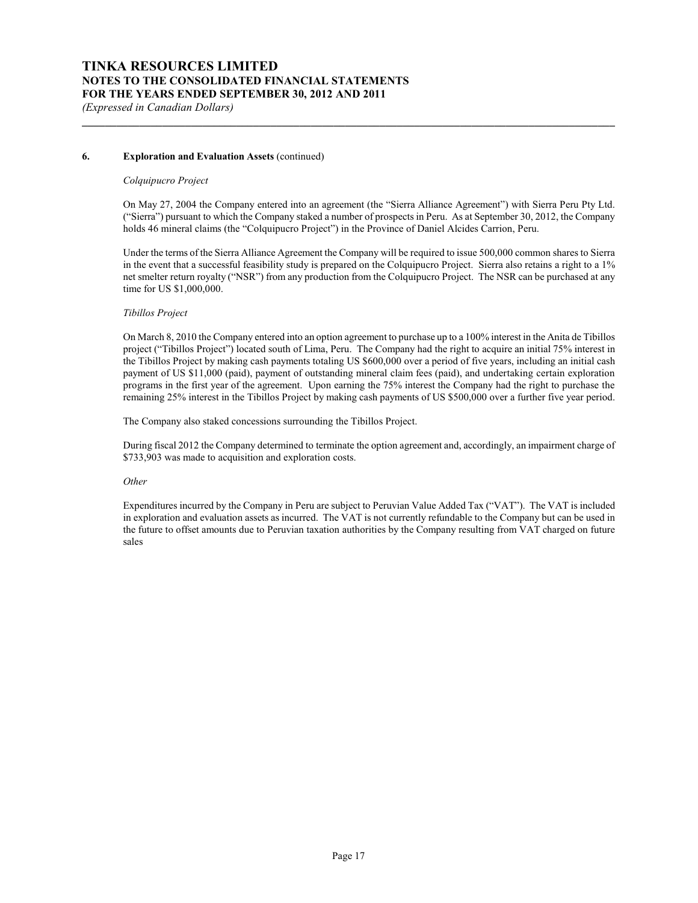#### **6. Exploration and Evaluation Assets** (continued)

#### *Colquipucro Project*

On May 27, 2004 the Company entered into an agreement (the "Sierra Alliance Agreement") with Sierra Peru Pty Ltd. ("Sierra") pursuant to which the Company staked a number of prospects in Peru. As at September 30, 2012, the Company holds 46 mineral claims (the "Colquipucro Project") in the Province of Daniel Alcides Carrion, Peru.

**\_\_\_\_\_\_\_\_\_\_\_\_\_\_\_\_\_\_\_\_\_\_\_\_\_\_\_\_\_\_\_\_\_\_\_\_\_\_\_\_\_\_\_\_\_\_\_\_\_\_\_\_\_\_\_\_\_\_\_\_\_\_\_\_\_\_\_\_\_\_\_\_\_\_\_\_\_\_\_\_\_\_\_\_\_\_\_\_\_\_\_\_\_**

Under the terms of the Sierra Alliance Agreement the Company will be required to issue 500,000 common shares to Sierra in the event that a successful feasibility study is prepared on the Colquipucro Project. Sierra also retains a right to a 1% net smelter return royalty ("NSR") from any production from the Colquipucro Project. The NSR can be purchased at any time for US \$1,000,000.

#### *Tibillos Project*

On March 8, 2010 the Company entered into an option agreement to purchase up to a 100% interest in the Anita de Tibillos project ("Tibillos Project") located south of Lima, Peru. The Company had the right to acquire an initial 75% interest in the Tibillos Project by making cash payments totaling US \$600,000 over a period of five years, including an initial cash payment of US \$11,000 (paid), payment of outstanding mineral claim fees (paid), and undertaking certain exploration programs in the first year of the agreement. Upon earning the 75% interest the Company had the right to purchase the remaining 25% interest in the Tibillos Project by making cash payments of US \$500,000 over a further five year period.

The Company also staked concessions surrounding the Tibillos Project.

During fiscal 2012 the Company determined to terminate the option agreement and, accordingly, an impairment charge of \$733,903 was made to acquisition and exploration costs.

#### *Other*

Expenditures incurred by the Company in Peru are subject to Peruvian Value Added Tax ("VAT"). The VAT is included in exploration and evaluation assets as incurred. The VAT is not currently refundable to the Company but can be used in the future to offset amounts due to Peruvian taxation authorities by the Company resulting from VAT charged on future sales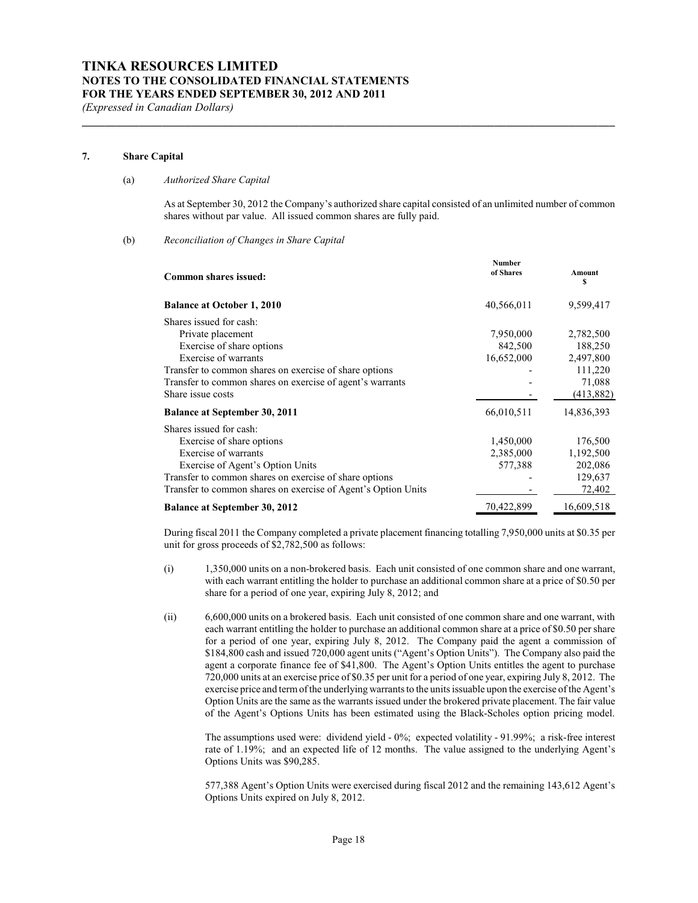#### **7. Share Capital**

#### (a) *Authorized Share Capital*

As at September 30, 2012 the Company's authorized share capital consisted of an unlimited number of common shares without par value. All issued common shares are fully paid.

**\_\_\_\_\_\_\_\_\_\_\_\_\_\_\_\_\_\_\_\_\_\_\_\_\_\_\_\_\_\_\_\_\_\_\_\_\_\_\_\_\_\_\_\_\_\_\_\_\_\_\_\_\_\_\_\_\_\_\_\_\_\_\_\_\_\_\_\_\_\_\_\_\_\_\_\_\_\_\_\_\_\_\_\_\_\_\_\_\_\_\_\_\_**

#### (b) *Reconciliation of Changes in Share Capital*

| <b>Common shares issued:</b>                                  | <b>Number</b><br>of Shares | Amount     |
|---------------------------------------------------------------|----------------------------|------------|
| <b>Balance at October 1, 2010</b>                             | 40,566,011                 | 9,599,417  |
| Shares issued for cash:                                       |                            |            |
| Private placement                                             | 7,950,000                  | 2,782,500  |
| Exercise of share options                                     | 842,500                    | 188,250    |
| Exercise of warrants                                          | 16,652,000                 | 2,497,800  |
| Transfer to common shares on exercise of share options        |                            | 111,220    |
| Transfer to common shares on exercise of agent's warrants     |                            | 71,088     |
| Share issue costs                                             |                            | (413, 882) |
| <b>Balance at September 30, 2011</b>                          | 66,010,511                 | 14,836,393 |
| Shares issued for cash:                                       |                            |            |
| Exercise of share options                                     | 1,450,000                  | 176,500    |
| Exercise of warrants                                          | 2,385,000                  | 1,192,500  |
| Exercise of Agent's Option Units                              | 577,388                    | 202,086    |
| Transfer to common shares on exercise of share options        |                            | 129,637    |
| Transfer to common shares on exercise of Agent's Option Units |                            | 72,402     |
| <b>Balance at September 30, 2012</b>                          | 70,422,899                 | 16,609,518 |

During fiscal 2011 the Company completed a private placement financing totalling 7,950,000 units at \$0.35 per unit for gross proceeds of \$2,782,500 as follows:

- (i) 1,350,000 units on a non-brokered basis. Each unit consisted of one common share and one warrant, with each warrant entitling the holder to purchase an additional common share at a price of \$0.50 per share for a period of one year, expiring July 8, 2012; and
- (ii) 6,600,000 units on a brokered basis. Each unit consisted of one common share and one warrant, with each warrant entitling the holder to purchase an additional common share at a price of \$0.50 per share for a period of one year, expiring July 8, 2012. The Company paid the agent a commission of \$184,800 cash and issued 720,000 agent units ("Agent's Option Units"). The Company also paid the agent a corporate finance fee of \$41,800. The Agent's Option Units entitles the agent to purchase 720,000 units at an exercise price of \$0.35 per unit for a period of one year, expiring July 8, 2012. The exercise price and termof the underlying warrants to the units issuable upon the exercise of the Agent's Option Units are the same as the warrants issued under the brokered private placement. The fair value of the Agent's Options Units has been estimated using the Black-Scholes option pricing model.

The assumptions used were: dividend yield - 0%; expected volatility - 91.99%; a risk-free interest rate of 1.19%; and an expected life of 12 months. The value assigned to the underlying Agent's Options Units was \$90,285.

577,388 Agent's Option Units were exercised during fiscal 2012 and the remaining 143,612 Agent's Options Units expired on July 8, 2012.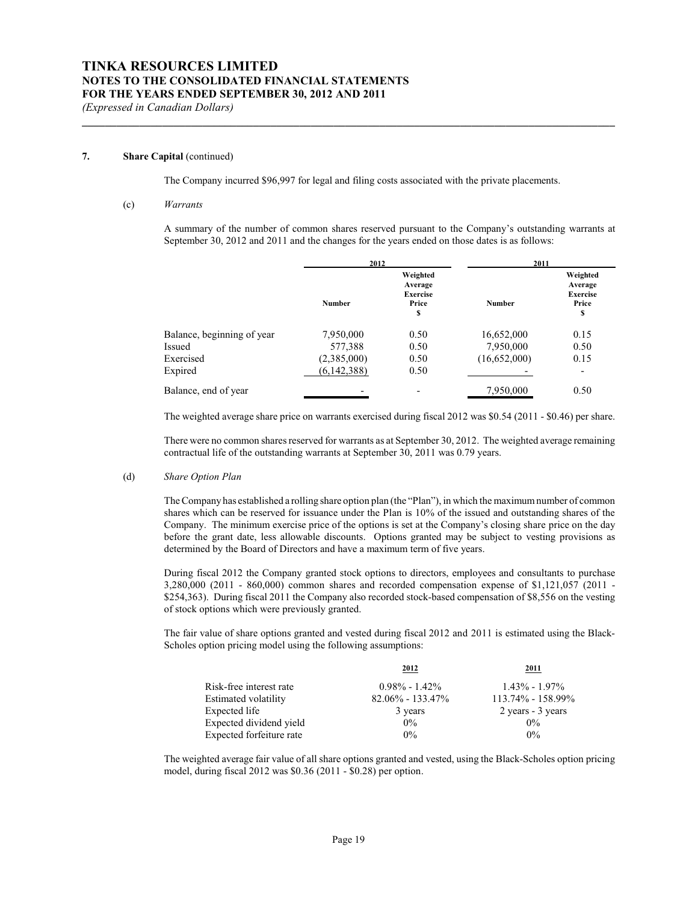#### **7. Share Capital** (continued)

The Company incurred \$96,997 for legal and filing costs associated with the private placements.

**\_\_\_\_\_\_\_\_\_\_\_\_\_\_\_\_\_\_\_\_\_\_\_\_\_\_\_\_\_\_\_\_\_\_\_\_\_\_\_\_\_\_\_\_\_\_\_\_\_\_\_\_\_\_\_\_\_\_\_\_\_\_\_\_\_\_\_\_\_\_\_\_\_\_\_\_\_\_\_\_\_\_\_\_\_\_\_\_\_\_\_\_\_**

#### (c) *Warrants*

A summary of the number of common shares reserved pursuant to the Company's outstanding warrants at September 30, 2012 and 2011 and the changes for the years ended on those dates is as follows:

|                            |               | 2012                                                  |               | 2011                                                  |  |  |
|----------------------------|---------------|-------------------------------------------------------|---------------|-------------------------------------------------------|--|--|
|                            | <b>Number</b> | Weighted<br>Average<br><b>Exercise</b><br>Price<br>\$ | <b>Number</b> | Weighted<br>Average<br><b>Exercise</b><br>Price<br>\$ |  |  |
| Balance, beginning of year | 7,950,000     | 0.50                                                  | 16,652,000    | 0.15                                                  |  |  |
| Issued                     | 577,388       | 0.50                                                  | 7,950,000     | 0.50                                                  |  |  |
| Exercised                  | (2,385,000)   | 0.50                                                  | (16,652,000)  | 0.15                                                  |  |  |
| Expired                    | (6,142,388)   | 0.50                                                  |               | $\overline{\phantom{a}}$                              |  |  |
| Balance, end of year       |               | $\overline{\phantom{0}}$                              | 7,950,000     | 0.50                                                  |  |  |

The weighted average share price on warrants exercised during fiscal 2012 was \$0.54 (2011 - \$0.46) per share.

There were no common shares reserved for warrants as at September 30, 2012. The weighted average remaining contractual life of the outstanding warrants at September 30, 2011 was 0.79 years.

#### (d) *Share Option Plan*

The Company has established a rolling share option plan (the "Plan"), in which the maximum number of common shares which can be reserved for issuance under the Plan is 10% of the issued and outstanding shares of the Company. The minimum exercise price of the options is set at the Company's closing share price on the day before the grant date, less allowable discounts. Options granted may be subject to vesting provisions as determined by the Board of Directors and have a maximum term of five years.

During fiscal 2012 the Company granted stock options to directors, employees and consultants to purchase 3,280,000 (2011 - 860,000) common shares and recorded compensation expense of \$1,121,057 (2011 - \$254,363). During fiscal 2011 the Company also recorded stock-based compensation of \$8,556 on the vesting of stock options which were previously granted.

The fair value of share options granted and vested during fiscal 2012 and 2011 is estimated using the Black-Scholes option pricing model using the following assumptions:

|                          | 2012                 | 2011                  |
|--------------------------|----------------------|-----------------------|
| Risk-free interest rate  | $0.98\% - 1.42\%$    | $1.43\% - 1.97\%$     |
| Estimated volatility     | $82.06\% - 133.47\%$ | $113.74\% - 158.99\%$ |
| Expected life            | 3 years              | 2 years - 3 years     |
| Expected dividend yield  | $0\%$                | $0\%$                 |
| Expected forfeiture rate | $0\%$                | $0\%$                 |

The weighted average fair value of all share options granted and vested, using the Black-Scholes option pricing model, during fiscal 2012 was \$0.36 (2011 - \$0.28) per option.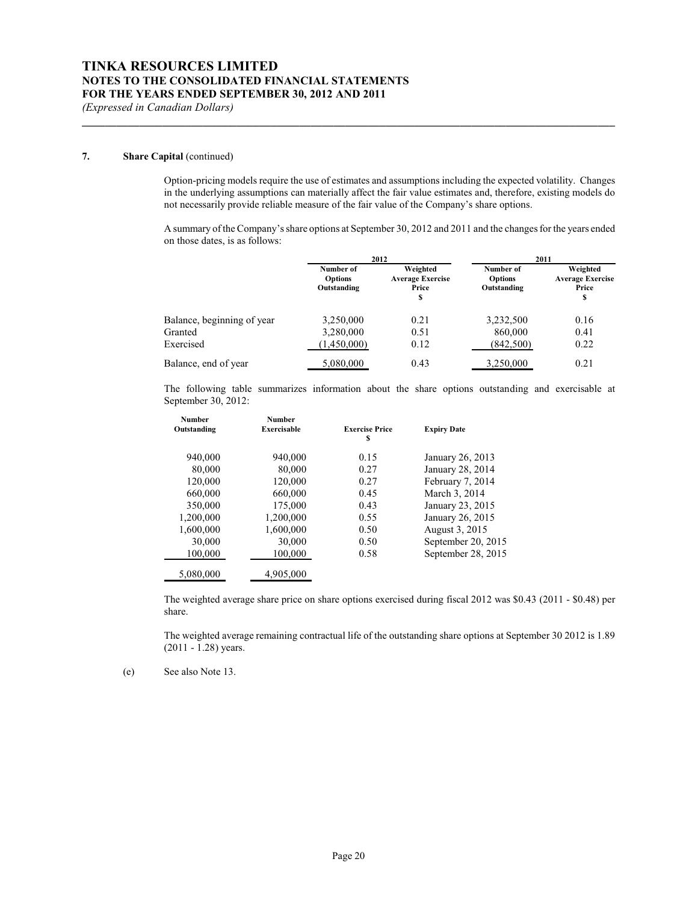#### **7. Share Capital** (continued)

Option-pricing models require the use of estimates and assumptions including the expected volatility. Changes in the underlying assumptions can materially affect the fair value estimates and, therefore, existing models do not necessarily provide reliable measure of the fair value of the Company's share options.

**\_\_\_\_\_\_\_\_\_\_\_\_\_\_\_\_\_\_\_\_\_\_\_\_\_\_\_\_\_\_\_\_\_\_\_\_\_\_\_\_\_\_\_\_\_\_\_\_\_\_\_\_\_\_\_\_\_\_\_\_\_\_\_\_\_\_\_\_\_\_\_\_\_\_\_\_\_\_\_\_\_\_\_\_\_\_\_\_\_\_\_\_\_**

A summary of the Company'sshare options at September 30, 2012 and 2011 and the changes for the years ended on those dates, is as follows:

|                            |                                            | 2012                                               |                                            | 2011                                              |
|----------------------------|--------------------------------------------|----------------------------------------------------|--------------------------------------------|---------------------------------------------------|
|                            | Number of<br><b>Options</b><br>Outstanding | Weighted<br><b>Average Exercise</b><br>Price<br>\$ | Number of<br><b>Options</b><br>Outstanding | Weighted<br><b>Average Exercise</b><br>Price<br>s |
| Balance, beginning of year | 3,250,000                                  | 0.21                                               | 3,232,500                                  | 0.16                                              |
| Granted                    | 3,280,000                                  | 0.51                                               | 860,000                                    | 0.41                                              |
| Exercised                  | (1,450,000)                                | 0.12                                               | (842,500)                                  | 0.22                                              |
| Balance, end of year       | 5,080,000                                  | 0.43                                               | 3,250,000                                  | 0.21                                              |

The following table summarizes information about the share options outstanding and exercisable at September 30, 2012:

| <b>Number</b> | Number             |                            |                    |
|---------------|--------------------|----------------------------|--------------------|
| Outstanding   | <b>Exercisable</b> | <b>Exercise Price</b><br>S | <b>Expiry Date</b> |
| 940,000       | 940,000            | 0.15                       | January 26, 2013   |
| 80,000        | 80,000             | 0.27                       | January 28, 2014   |
| 120,000       | 120,000            | 0.27                       | February 7, 2014   |
| 660,000       | 660,000            | 0.45                       | March 3, 2014      |
| 350,000       | 175,000            | 0.43                       | January 23, 2015   |
| 1,200,000     | 1,200,000          | 0.55                       | January 26, 2015   |
| 1,600,000     | 1,600,000          | 0.50                       | August 3, 2015     |
| 30,000        | 30,000             | 0.50                       | September 20, 2015 |
| 100,000       | 100,000            | 0.58                       | September 28, 2015 |
| 5,080,000     | 4.905.000          |                            |                    |

The weighted average share price on share options exercised during fiscal 2012 was \$0.43 (2011 - \$0.48) per share.

The weighted average remaining contractual life of the outstanding share options at September 30 2012 is 1.89 (2011 - 1.28) years.

<sup>(</sup>e) See also Note 13.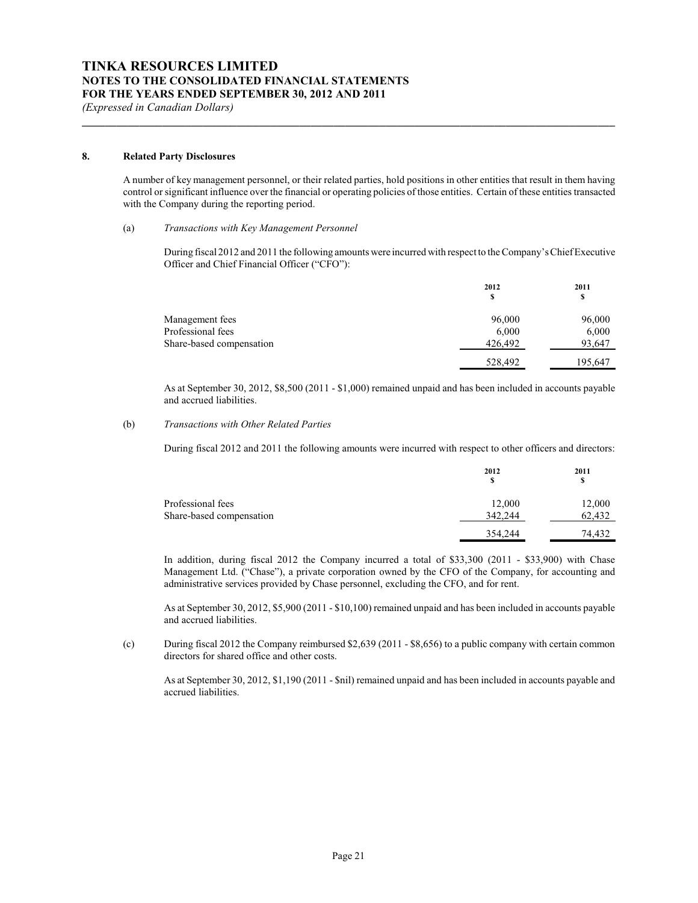#### **8. Related Party Disclosures**

A number of key management personnel, or their related parties, hold positions in other entities that result in them having control or significant influence over the financial or operating policies of those entities. Certain of these entities transacted with the Company during the reporting period.

**\_\_\_\_\_\_\_\_\_\_\_\_\_\_\_\_\_\_\_\_\_\_\_\_\_\_\_\_\_\_\_\_\_\_\_\_\_\_\_\_\_\_\_\_\_\_\_\_\_\_\_\_\_\_\_\_\_\_\_\_\_\_\_\_\_\_\_\_\_\_\_\_\_\_\_\_\_\_\_\_\_\_\_\_\_\_\_\_\_\_\_\_\_**

#### (a) *Transactions with Key Management Personnel*

During fiscal 2012 and 2011 the following amounts were incurred with respect to the Company's Chief Executive Officer and Chief Financial Officer ("CFO"):

|                          | 2012<br>\$ | 2011<br>S |
|--------------------------|------------|-----------|
| Management fees          | 96,000     | 96,000    |
| Professional fees        | 6,000      | 6,000     |
| Share-based compensation | 426,492    | 93,647    |
|                          | 528,492    | 195,647   |

As at September 30, 2012, \$8,500 (2011 - \$1,000) remained unpaid and has been included in accounts payable and accrued liabilities.

#### (b) *Transactions with Other Related Parties*

During fiscal 2012 and 2011 the following amounts were incurred with respect to other officers and directors:

|                          | 2012<br>s | 2011<br>\$ |
|--------------------------|-----------|------------|
| Professional fees        | 12,000    | 12,000     |
| Share-based compensation | 342,244   | 62.432     |
|                          | 354,244   | 74.432     |

In addition, during fiscal 2012 the Company incurred a total of \$33,300 (2011 - \$33,900) with Chase Management Ltd. ("Chase"), a private corporation owned by the CFO of the Company, for accounting and administrative services provided by Chase personnel, excluding the CFO, and for rent.

As at September 30, 2012, \$5,900 (2011 - \$10,100) remained unpaid and has been included in accounts payable and accrued liabilities.

(c) During fiscal 2012 the Company reimbursed \$2,639 (2011 - \$8,656) to a public company with certain common directors for shared office and other costs.

As at September 30, 2012, \$1,190 (2011 - \$nil) remained unpaid and has been included in accounts payable and accrued liabilities.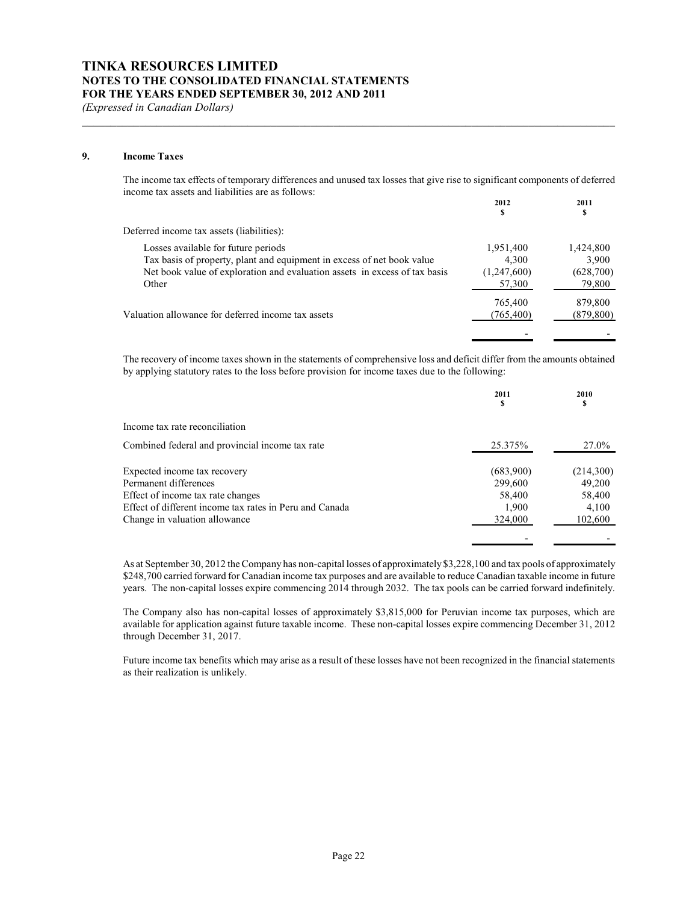#### **9. Income Taxes**

The income tax effects of temporary differences and unused tax losses that give rise to significant components of deferred income tax assets and liabilities are as follows:

**\_\_\_\_\_\_\_\_\_\_\_\_\_\_\_\_\_\_\_\_\_\_\_\_\_\_\_\_\_\_\_\_\_\_\_\_\_\_\_\_\_\_\_\_\_\_\_\_\_\_\_\_\_\_\_\_\_\_\_\_\_\_\_\_\_\_\_\_\_\_\_\_\_\_\_\_\_\_\_\_\_\_\_\_\_\_\_\_\_\_\_\_\_**

|                                                                            | 2012<br>S   | 2011<br>s  |
|----------------------------------------------------------------------------|-------------|------------|
| Deferred income tax assets (liabilities):                                  |             |            |
| Losses available for future periods                                        | 1,951,400   | 1,424,800  |
| Tax basis of property, plant and equipment in excess of net book value     | 4.300       | 3,900      |
| Net book value of exploration and evaluation assets in excess of tax basis | (1,247,600) | (628,700)  |
| Other                                                                      | 57,300      | 79,800     |
|                                                                            | 765,400     | 879,800    |
| Valuation allowance for deferred income tax assets                         | (765, 400)  | (879, 800) |
|                                                                            |             |            |

The recovery of income taxes shown in the statements of comprehensive loss and deficit differ from the amounts obtained by applying statutory rates to the loss before provision for income taxes due to the following:

|                                                         | 2011<br>э | 2010<br>\$ |
|---------------------------------------------------------|-----------|------------|
| Income tax rate reconciliation                          |           |            |
| Combined federal and provincial income tax rate         | 25.375%   | 27.0%      |
| Expected income tax recovery                            | (683,900) | (214,300)  |
| Permanent differences                                   | 299,600   | 49,200     |
| Effect of income tax rate changes                       | 58,400    | 58,400     |
| Effect of different income tax rates in Peru and Canada | 1,900     | 4,100      |
| Change in valuation allowance                           | 324,000   | 102,600    |
|                                                         |           |            |

As at September 30, 2012 the Company has non-capital losses of approximately \$3,228,100 and tax pools of approximately \$248,700 carried forward for Canadian income tax purposes and are available to reduce Canadian taxable income in future years. The non-capital losses expire commencing 2014 through 2032. The tax pools can be carried forward indefinitely.

The Company also has non-capital losses of approximately \$3,815,000 for Peruvian income tax purposes, which are available for application against future taxable income. These non-capital losses expire commencing December 31, 2012 through December 31, 2017.

Future income tax benefits which may arise as a result of these losses have not been recognized in the financial statements as their realization is unlikely.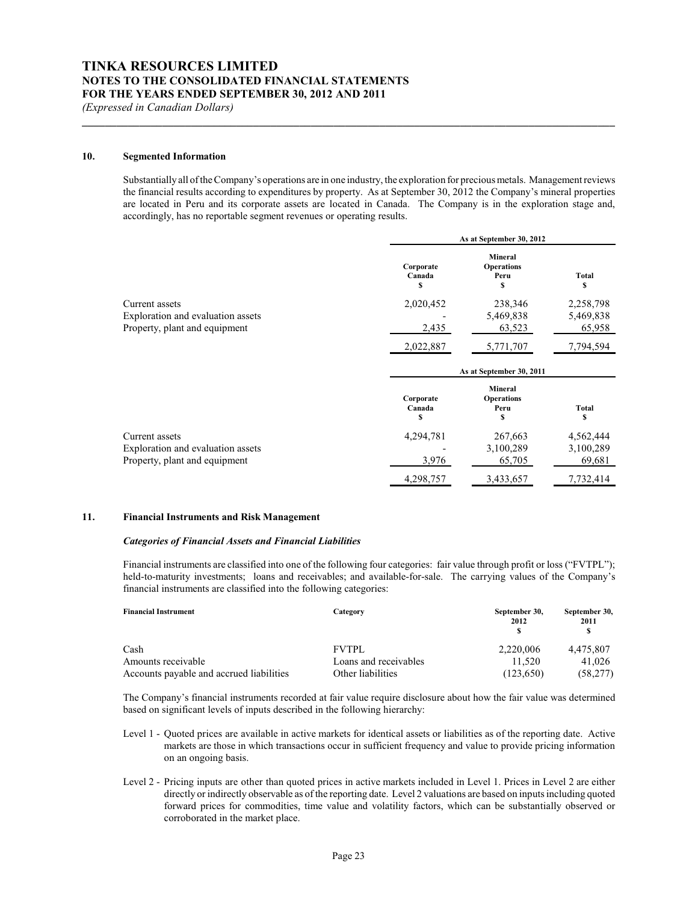#### **10. Segmented Information**

Substantially all of the Company's operations are in one industry, the exploration for precious metals. Management reviews the financial results according to expenditures by property. As at September 30, 2012 the Company's mineral properties are located in Peru and its corporate assets are located in Canada. The Company is in the exploration stage and, accordingly, has no reportable segment revenues or operating results.

**\_\_\_\_\_\_\_\_\_\_\_\_\_\_\_\_\_\_\_\_\_\_\_\_\_\_\_\_\_\_\_\_\_\_\_\_\_\_\_\_\_\_\_\_\_\_\_\_\_\_\_\_\_\_\_\_\_\_\_\_\_\_\_\_\_\_\_\_\_\_\_\_\_\_\_\_\_\_\_\_\_\_\_\_\_\_\_\_\_\_\_\_\_**

|                                   | As at September 30, 2012 |                                                  |                   |  |
|-----------------------------------|--------------------------|--------------------------------------------------|-------------------|--|
|                                   | Corporate<br>Canada<br>S | Mineral<br><b>Operations</b><br>Peru<br>\$       | Total<br>S        |  |
| Current assets                    | 2,020,452                | 238,346                                          | 2,258,798         |  |
| Exploration and evaluation assets |                          | 5,469,838                                        | 5,469,838         |  |
| Property, plant and equipment     | 2,435                    | 63,523                                           | 65,958            |  |
|                                   | 2,022,887                | 5,771,707                                        | 7,794,594         |  |
|                                   | As at September 30, 2011 |                                                  |                   |  |
|                                   | Corporate<br>Canada<br>S | <b>Mineral</b><br><b>Operations</b><br>Peru<br>S | <b>Total</b><br>s |  |
| Current assets                    | 4,294,781                | 267,663                                          | 4,562,444         |  |
| Exploration and evaluation assets |                          | 3,100,289                                        | 3,100,289         |  |
| Property, plant and equipment     | 3,976                    | 65,705                                           | 69,681            |  |
|                                   | 4,298,757                | 3,433,657                                        | 7,732,414         |  |

#### **11. Financial Instruments and Risk Management**

#### *Categories of Financial Assets and Financial Liabilities*

Financial instruments are classified into one of the following four categories: fair value through profit or loss ("FVTPL"); held-to-maturity investments; loans and receivables; and available-for-sale. The carrying values of the Company's financial instruments are classified into the following categories:

| <b>Financial Instrument</b>              | Category              | September 30,<br>2012 | September 30,<br>2011 |
|------------------------------------------|-----------------------|-----------------------|-----------------------|
| Cash                                     | <b>FVTPL</b>          | 2,220,006             | 4.475.807             |
| Amounts receivable                       | Loans and receivables | 11.520                | 41,026                |
| Accounts payable and accrued liabilities | Other liabilities     | (123.650)             | (58, 277)             |

The Company's financial instruments recorded at fair value require disclosure about how the fair value was determined based on significant levels of inputs described in the following hierarchy:

- Level 1 Quoted prices are available in active markets for identical assets or liabilities as of the reporting date. Active markets are those in which transactions occur in sufficient frequency and value to provide pricing information on an ongoing basis.
- Level 2 Pricing inputs are other than quoted prices in active markets included in Level 1. Prices in Level 2 are either directly or indirectly observable as of the reporting date. Level 2 valuations are based on inputs including quoted forward prices for commodities, time value and volatility factors, which can be substantially observed or corroborated in the market place.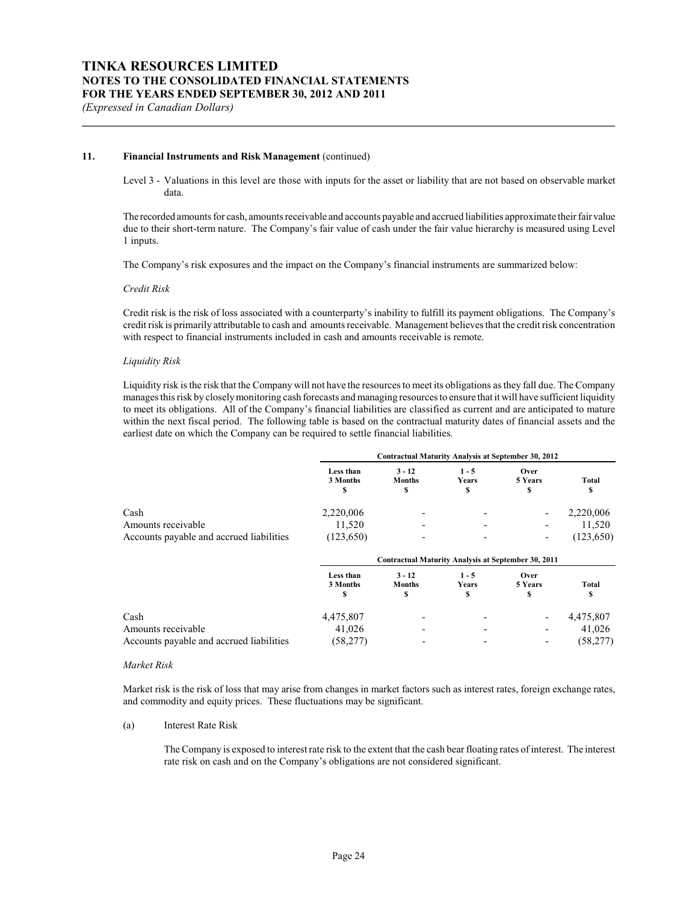#### **11. Financial Instruments and Risk Management** (continued)

Level 3 - Valuations in this level are those with inputs for the asset or liability that are not based on observable market data.

The recorded amounts for cash, amounts receivable and accounts payable and accrued liabilities approximate their fair value due to their short-term nature. The Company's fair value of cash under the fair value hierarchy is measured using Level 1 inputs.

The Company's risk exposures and the impact on the Company's financial instruments are summarized below:

**\_\_\_\_\_\_\_\_\_\_\_\_\_\_\_\_\_\_\_\_\_\_\_\_\_\_\_\_\_\_\_\_\_\_\_\_\_\_\_\_\_\_\_\_\_\_\_\_\_\_\_\_\_\_\_\_\_\_\_\_\_\_\_\_\_\_\_\_\_\_\_\_\_\_\_\_\_\_\_\_\_\_\_\_\_\_\_\_\_\_\_\_\_**

#### *Credit Risk*

Credit risk is the risk of loss associated with a counterparty's inability to fulfill its payment obligations. The Company's credit risk is primarily attributable to cash and amounts receivable. Management believes that the credit risk concentration with respect to financial instruments included in cash and amounts receivable is remote.

#### *Liquidity Risk*

Liquidity risk is the risk that the Company will not have the resources to meet its obligations as they fall due. The Company manages this risk by closelymonitoring cash forecasts and managing resources to ensure that it will have sufficient liquidity to meet its obligations. All of the Company's financial liabilities are classified as current and are anticipated to mature within the next fiscal period. The following table is based on the contractual maturity dates of financial assets and the earliest date on which the Company can be required to settle financial liabilities.

|                                          | Contractual Maturity Analysis at September 30, 2012 |                                |                       |                          |            |
|------------------------------------------|-----------------------------------------------------|--------------------------------|-----------------------|--------------------------|------------|
|                                          | Less than<br>3 Months                               | $3 - 12$<br><b>Months</b><br>S | $1 - 5$<br>Years<br>S | Over<br>5 Years          | Total      |
| Cash                                     | 2,220,006                                           |                                |                       | $\overline{\phantom{a}}$ | 2,220,006  |
| Amounts receivable                       | 11,520                                              |                                |                       | ٠                        | 11,520     |
| Accounts payable and accrued liabilities | (123, 650)                                          |                                |                       | ٠                        | (123, 650) |

|                                          | Contractual Maturity Analysis at September 30, 2011 |                                 |                       |                          |            |
|------------------------------------------|-----------------------------------------------------|---------------------------------|-----------------------|--------------------------|------------|
|                                          | Less than<br>3 Months<br>s                          | $3 - 12$<br><b>Months</b><br>\$ | $1 - 5$<br>Years<br>S | Over<br>5 Years<br>S     | Total<br>S |
| Cash                                     | 4,475,807                                           | $\overline{\phantom{a}}$        |                       | $\overline{\phantom{a}}$ | 4,475,807  |
| Amounts receivable                       | 41,026                                              |                                 |                       | $\overline{\phantom{a}}$ | 41,026     |
| Accounts payable and accrued liabilities | (58, 277)                                           |                                 |                       | $\overline{\phantom{a}}$ | (58, 277)  |

#### *Market Risk*

Market risk is the risk of loss that may arise from changes in market factors such as interest rates, foreign exchange rates, and commodity and equity prices. These fluctuations may be significant.

#### (a) Interest Rate Risk

The Company is exposed to interest rate risk to the extent that the cash bear floating rates of interest. The interest rate risk on cash and on the Company's obligations are not considered significant.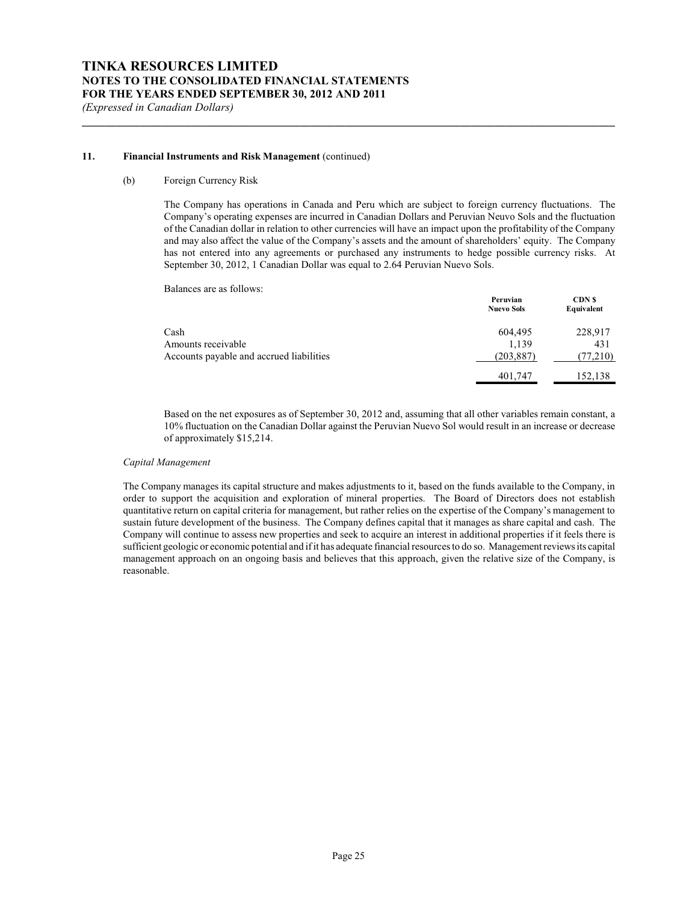#### **11. Financial Instruments and Risk Management** (continued)

#### (b) Foreign Currency Risk

The Company has operations in Canada and Peru which are subject to foreign currency fluctuations. The Company's operating expenses are incurred in Canadian Dollars and Peruvian Neuvo Sols and the fluctuation of the Canadian dollar in relation to other currencies will have an impact upon the profitability of the Company and may also affect the value of the Company's assets and the amount of shareholders' equity. The Company has not entered into any agreements or purchased any instruments to hedge possible currency risks. At September 30, 2012, 1 Canadian Dollar was equal to 2.64 Peruvian Nuevo Sols.

**\_\_\_\_\_\_\_\_\_\_\_\_\_\_\_\_\_\_\_\_\_\_\_\_\_\_\_\_\_\_\_\_\_\_\_\_\_\_\_\_\_\_\_\_\_\_\_\_\_\_\_\_\_\_\_\_\_\_\_\_\_\_\_\_\_\_\_\_\_\_\_\_\_\_\_\_\_\_\_\_\_\_\_\_\_\_\_\_\_\_\_\_\_**

Balances are as follows:

|                                          | Peruvian<br><b>Nuevo Sols</b> | <b>CDN</b> \$<br>Equivalent |
|------------------------------------------|-------------------------------|-----------------------------|
| Cash                                     | 604,495                       | 228,917                     |
| Amounts receivable                       | 1,139                         | 431                         |
| Accounts payable and accrued liabilities | (203, 887)                    | (77,210)                    |
|                                          | 401,747                       | 152,138                     |

Based on the net exposures as of September 30, 2012 and, assuming that all other variables remain constant, a 10% fluctuation on the Canadian Dollar against the Peruvian Nuevo Sol would result in an increase or decrease of approximately \$15,214.

#### *Capital Management*

The Company manages its capital structure and makes adjustments to it, based on the funds available to the Company, in order to support the acquisition and exploration of mineral properties. The Board of Directors does not establish quantitative return on capital criteria for management, but rather relies on the expertise of the Company's management to sustain future development of the business. The Company defines capital that it manages as share capital and cash. The Company will continue to assess new properties and seek to acquire an interest in additional properties if it feels there is sufficient geologic or economic potential and if it has adequate financial resources to do so. Management reviews its capital management approach on an ongoing basis and believes that this approach, given the relative size of the Company, is reasonable.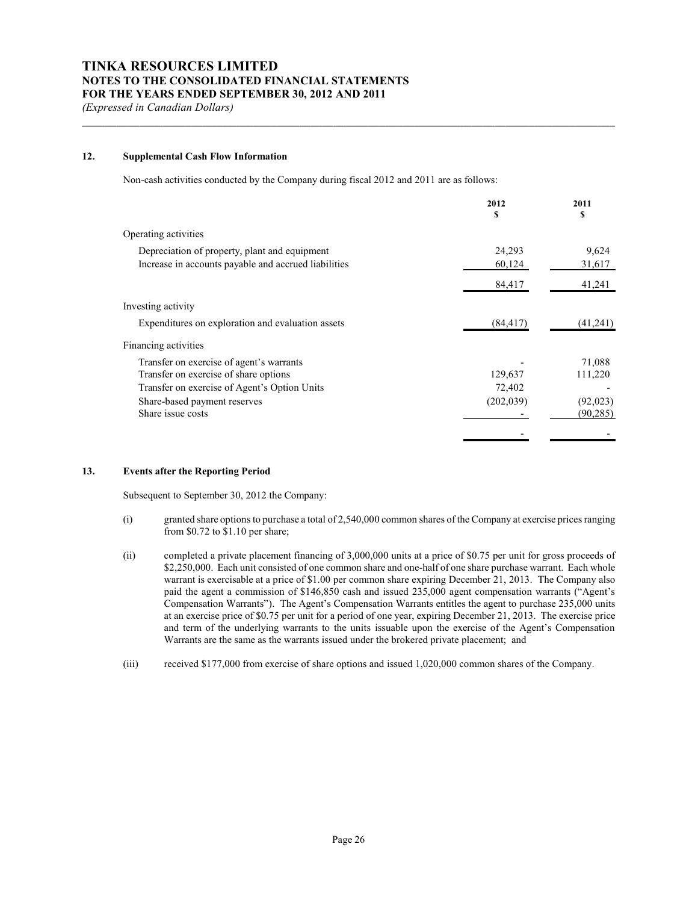#### **12. Supplemental Cash Flow Information**

Non-cash activities conducted by the Company during fiscal 2012 and 2011 are as follows:

**\_\_\_\_\_\_\_\_\_\_\_\_\_\_\_\_\_\_\_\_\_\_\_\_\_\_\_\_\_\_\_\_\_\_\_\_\_\_\_\_\_\_\_\_\_\_\_\_\_\_\_\_\_\_\_\_\_\_\_\_\_\_\_\_\_\_\_\_\_\_\_\_\_\_\_\_\_\_\_\_\_\_\_\_\_\_\_\_\_\_\_\_\_**

|                                                      | 2012<br>\$ | 2011<br>S |
|------------------------------------------------------|------------|-----------|
| Operating activities                                 |            |           |
| Depreciation of property, plant and equipment        | 24,293     | 9,624     |
| Increase in accounts payable and accrued liabilities | 60,124     | 31,617    |
|                                                      | 84,417     | 41,241    |
| Investing activity                                   |            |           |
| Expenditures on exploration and evaluation assets    | (84, 417)  | (41,241)  |
| Financing activities                                 |            |           |
| Transfer on exercise of agent's warrants             |            | 71,088    |
| Transfer on exercise of share options                | 129,637    | 111,220   |
| Transfer on exercise of Agent's Option Units         | 72,402     |           |
| Share-based payment reserves                         | (202, 039) | (92,023)  |
| Share issue costs                                    |            | (90, 285) |
|                                                      |            |           |
|                                                      |            |           |

### **13. Events after the Reporting Period**

Subsequent to September 30, 2012 the Company:

- (i) granted share options to purchase a total of 2,540,000 common shares of the Company at exercise prices ranging from \$0.72 to \$1.10 per share;
- (ii) completed a private placement financing of 3,000,000 units at a price of \$0.75 per unit for gross proceeds of \$2,250,000. Each unit consisted of one common share and one-half of one share purchase warrant. Each whole warrant is exercisable at a price of \$1.00 per common share expiring December 21, 2013. The Company also paid the agent a commission of \$146,850 cash and issued 235,000 agent compensation warrants ("Agent's Compensation Warrants"). The Agent's Compensation Warrants entitles the agent to purchase 235,000 units at an exercise price of \$0.75 per unit for a period of one year, expiring December 21, 2013. The exercise price and term of the underlying warrants to the units issuable upon the exercise of the Agent's Compensation Warrants are the same as the warrants issued under the brokered private placement; and
- (iii) received \$177,000 from exercise of share options and issued 1,020,000 common shares of the Company.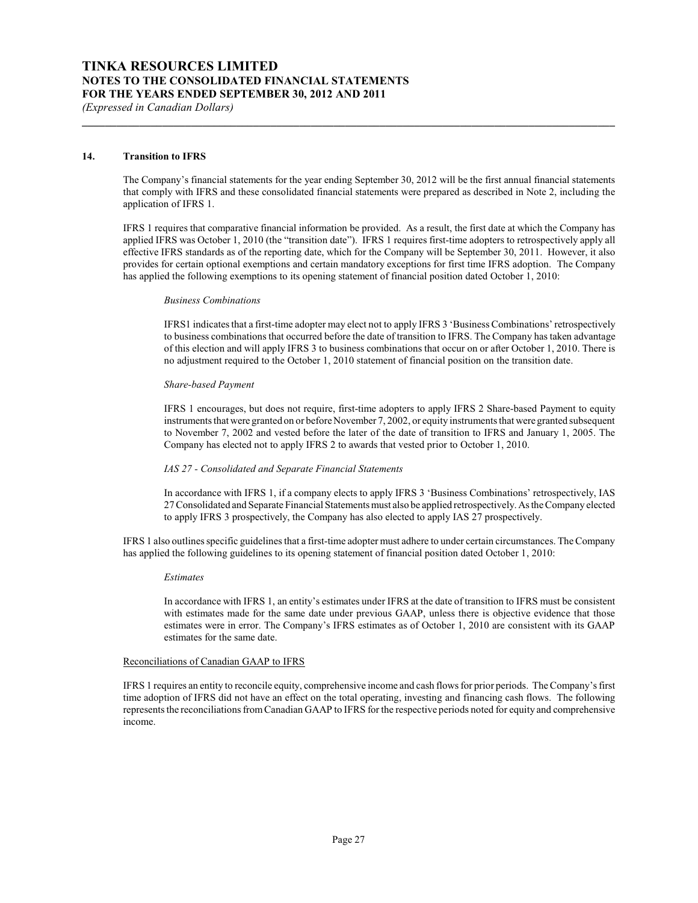#### **14. Transition to IFRS**

The Company's financial statements for the year ending September 30, 2012 will be the first annual financial statements that comply with IFRS and these consolidated financial statements were prepared as described in Note 2, including the application of IFRS 1.

**\_\_\_\_\_\_\_\_\_\_\_\_\_\_\_\_\_\_\_\_\_\_\_\_\_\_\_\_\_\_\_\_\_\_\_\_\_\_\_\_\_\_\_\_\_\_\_\_\_\_\_\_\_\_\_\_\_\_\_\_\_\_\_\_\_\_\_\_\_\_\_\_\_\_\_\_\_\_\_\_\_\_\_\_\_\_\_\_\_\_\_\_\_**

IFRS 1 requires that comparative financial information be provided. As a result, the first date at which the Company has applied IFRS was October 1, 2010 (the "transition date"). IFRS 1 requires first-time adopters to retrospectively apply all effective IFRS standards as of the reporting date, which for the Company will be September 30, 2011. However, it also provides for certain optional exemptions and certain mandatory exceptions for first time IFRS adoption. The Company has applied the following exemptions to its opening statement of financial position dated October 1, 2010:

#### *Business Combinations*

IFRS1 indicates that a first-time adopter may elect not to apply IFRS 3 'Business Combinations' retrospectively to business combinations that occurred before the date of transition to IFRS. The Company has taken advantage of this election and will apply IFRS 3 to business combinations that occur on or after October 1, 2010. There is no adjustment required to the October 1, 2010 statement of financial position on the transition date.

#### *Share-based Payment*

IFRS 1 encourages, but does not require, first-time adopters to apply IFRS 2 Share-based Payment to equity instruments that were granted on or before November 7, 2002, or equity instruments that were granted subsequent to November 7, 2002 and vested before the later of the date of transition to IFRS and January 1, 2005. The Company has elected not to apply IFRS 2 to awards that vested prior to October 1, 2010.

#### *IAS 27 - Consolidated and Separate Financial Statements*

In accordance with IFRS 1, if a company elects to apply IFRS 3 'Business Combinations' retrospectively, IAS 27Consolidated and Separate Financial Statements must also be applied retrospectively. As the Company elected to apply IFRS 3 prospectively, the Company has also elected to apply IAS 27 prospectively.

IFRS 1 also outlines specific guidelines that a first-time adopter must adhere to under certain circumstances. The Company has applied the following guidelines to its opening statement of financial position dated October 1, 2010:

#### *Estimates*

In accordance with IFRS 1, an entity's estimates under IFRS at the date of transition to IFRS must be consistent with estimates made for the same date under previous GAAP, unless there is objective evidence that those estimates were in error. The Company's IFRS estimates as of October 1, 2010 are consistent with its GAAP estimates for the same date.

#### Reconciliations of Canadian GAAP to IFRS

IFRS 1 requires an entity to reconcile equity, comprehensive income and cash flows for prior periods. The Company'sfirst time adoption of IFRS did not have an effect on the total operating, investing and financing cash flows. The following represents the reconciliations from Canadian GAAP to IFRS for the respective periods noted for equity and comprehensive income.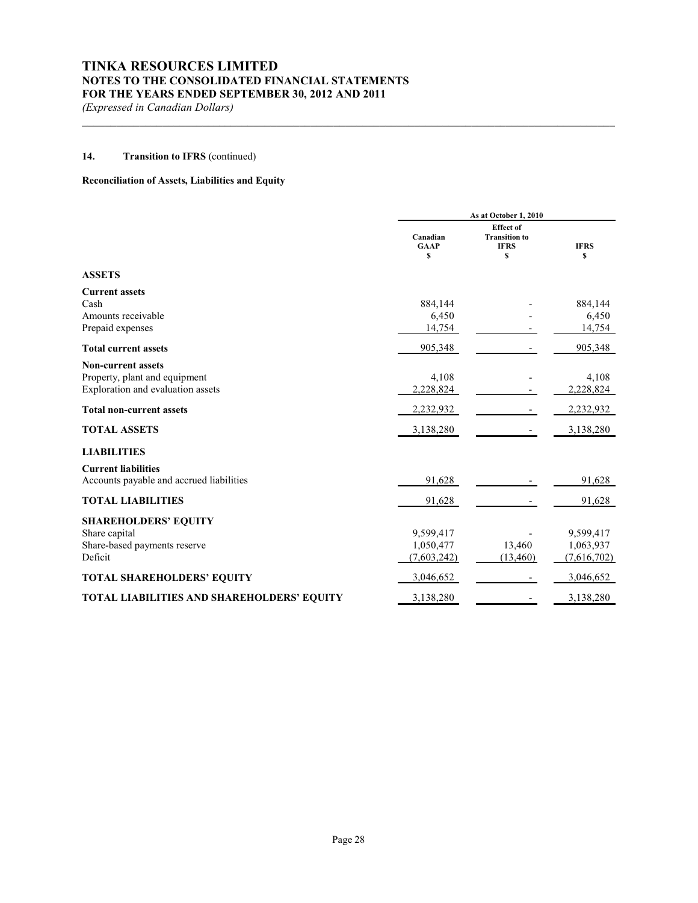*(Expressed in Canadian Dollars)*

### **14. Transition to IFRS** (continued)

# **Reconciliation of Assets, Liabilities and Equity**

|                                                   | As at October 1, 2010         |                                                               |                  |
|---------------------------------------------------|-------------------------------|---------------------------------------------------------------|------------------|
|                                                   | Canadian<br><b>GAAP</b><br>\$ | <b>Effect</b> of<br><b>Transition to</b><br><b>IFRS</b><br>\$ | <b>IFRS</b><br>S |
| <b>ASSETS</b>                                     |                               |                                                               |                  |
| <b>Current assets</b>                             |                               |                                                               |                  |
| Cash                                              | 884,144                       |                                                               | 884,144          |
| Amounts receivable                                | 6,450                         |                                                               | 6,450            |
| Prepaid expenses                                  | 14,754                        |                                                               | 14,754           |
| <b>Total current assets</b>                       | 905,348                       |                                                               | 905,348          |
| <b>Non-current assets</b>                         |                               |                                                               |                  |
| Property, plant and equipment                     | 4,108                         |                                                               | 4,108            |
| Exploration and evaluation assets                 | 2,228,824                     |                                                               | 2,228,824        |
| <b>Total non-current assets</b>                   | 2,232,932                     |                                                               | 2,232,932        |
| <b>TOTAL ASSETS</b>                               | 3,138,280                     |                                                               | 3,138,280        |
| <b>LIABILITIES</b>                                |                               |                                                               |                  |
| <b>Current liabilities</b>                        |                               |                                                               |                  |
| Accounts payable and accrued liabilities          | 91,628                        |                                                               | 91,628           |
| <b>TOTAL LIABILITIES</b>                          | 91,628                        |                                                               | 91,628           |
| <b>SHAREHOLDERS' EQUITY</b>                       |                               |                                                               |                  |
| Share capital                                     | 9,599,417                     |                                                               | 9,599,417        |
| Share-based payments reserve                      | 1,050,477                     | 13,460                                                        | 1,063,937        |
| Deficit                                           | (7,603,242)                   | (13, 460)                                                     | (7,616,702)      |
| <b>TOTAL SHAREHOLDERS' EQUITY</b>                 | 3,046,652                     |                                                               | 3,046,652        |
| <b>TOTAL LIABILITIES AND SHAREHOLDERS' EQUITY</b> | 3,138,280                     |                                                               | 3,138,280        |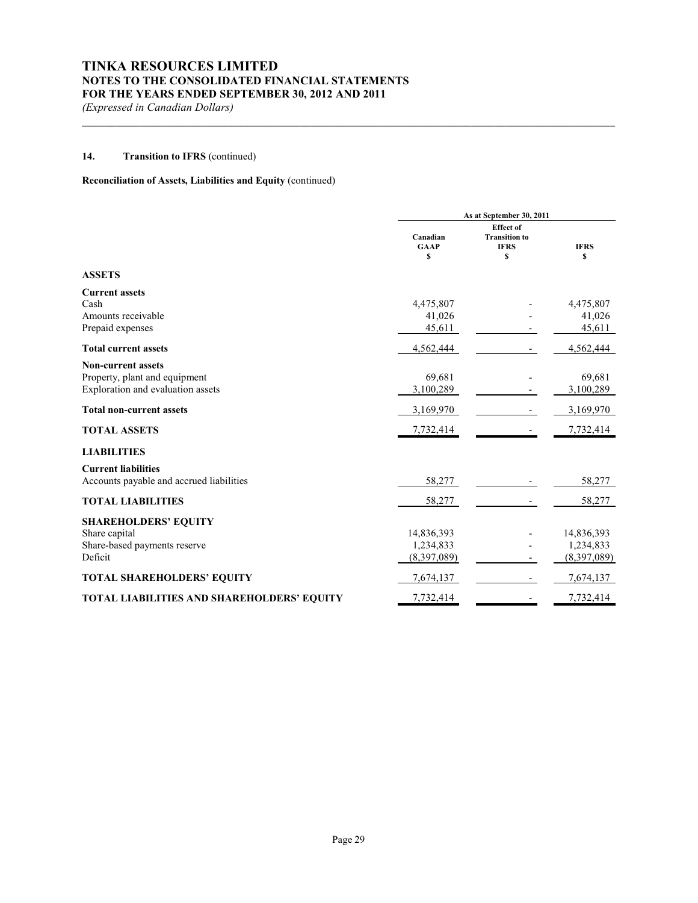*(Expressed in Canadian Dollars)*

### **14. Transition to IFRS** (continued)

# **Reconciliation of Assets, Liabilities and Equity** (continued)

|                                            | As at September 30, 2011      |                                                               |                  |
|--------------------------------------------|-------------------------------|---------------------------------------------------------------|------------------|
|                                            | Canadian<br><b>GAAP</b><br>\$ | <b>Effect</b> of<br><b>Transition to</b><br><b>IFRS</b><br>\$ | <b>IFRS</b><br>S |
| <b>ASSETS</b>                              |                               |                                                               |                  |
| <b>Current assets</b>                      |                               |                                                               |                  |
| Cash                                       | 4,475,807                     |                                                               | 4,475,807        |
| Amounts receivable                         | 41,026                        |                                                               | 41,026           |
| Prepaid expenses                           | 45,611                        |                                                               | 45,611           |
| <b>Total current assets</b>                | 4,562,444                     |                                                               | 4,562,444        |
| <b>Non-current assets</b>                  |                               |                                                               |                  |
| Property, plant and equipment              | 69,681                        |                                                               | 69,681           |
| Exploration and evaluation assets          | 3,100,289                     |                                                               | 3,100,289        |
| <b>Total non-current assets</b>            | 3,169,970                     |                                                               | 3,169,970        |
| <b>TOTAL ASSETS</b>                        | 7,732,414                     |                                                               | 7,732,414        |
| <b>LIABILITIES</b>                         |                               |                                                               |                  |
| <b>Current liabilities</b>                 |                               |                                                               |                  |
| Accounts payable and accrued liabilities   | 58,277                        |                                                               | 58,277           |
| <b>TOTAL LIABILITIES</b>                   | 58,277                        |                                                               | 58,277           |
| <b>SHAREHOLDERS' EQUITY</b>                |                               |                                                               |                  |
| Share capital                              | 14,836,393                    |                                                               | 14,836,393       |
| Share-based payments reserve               | 1,234,833                     |                                                               | 1,234,833        |
| Deficit                                    | (8,397,089)                   |                                                               | (8,397,089)      |
| <b>TOTAL SHAREHOLDERS' EQUITY</b>          | 7,674,137                     |                                                               | 7,674,137        |
| TOTAL LIABILITIES AND SHAREHOLDERS' EQUITY | 7,732,414                     |                                                               | 7,732,414        |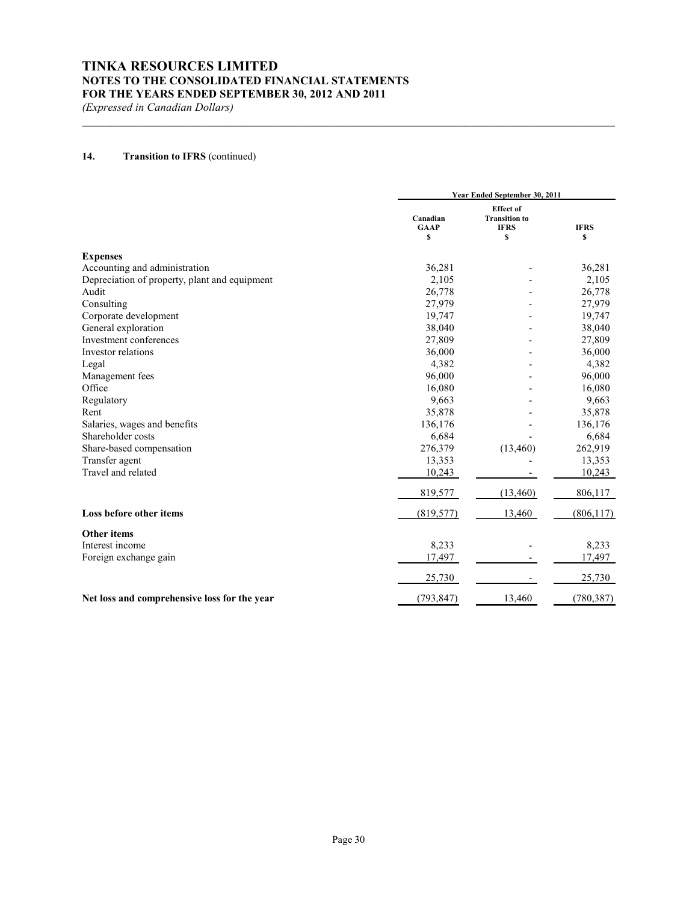*(Expressed in Canadian Dollars)*

### **14. Transition to IFRS** (continued)

|                                               |                               | Year Ended September 30, 2011                                 |                   |  |
|-----------------------------------------------|-------------------------------|---------------------------------------------------------------|-------------------|--|
|                                               | Canadian<br><b>GAAP</b><br>\$ | <b>Effect</b> of<br><b>Transition to</b><br><b>IFRS</b><br>\$ | <b>IFRS</b><br>\$ |  |
| <b>Expenses</b>                               |                               |                                                               |                   |  |
| Accounting and administration                 | 36,281                        |                                                               | 36,281            |  |
| Depreciation of property, plant and equipment | 2,105                         |                                                               | 2,105             |  |
| Audit                                         | 26,778                        |                                                               | 26,778            |  |
| Consulting                                    | 27,979                        |                                                               | 27,979            |  |
| Corporate development                         | 19,747                        |                                                               | 19,747            |  |
| General exploration                           | 38,040                        |                                                               | 38,040            |  |
| Investment conferences                        | 27,809                        |                                                               | 27,809            |  |
| Investor relations                            | 36,000                        |                                                               | 36,000            |  |
| Legal                                         | 4,382                         |                                                               | 4,382             |  |
| Management fees                               | 96,000                        |                                                               | 96,000            |  |
| Office                                        | 16,080                        |                                                               | 16,080            |  |
| Regulatory                                    | 9,663                         |                                                               | 9,663             |  |
| Rent                                          | 35,878                        |                                                               | 35,878            |  |
| Salaries, wages and benefits                  | 136,176                       |                                                               | 136,176           |  |
| Shareholder costs                             | 6,684                         |                                                               | 6,684             |  |
| Share-based compensation                      | 276,379                       | (13, 460)                                                     | 262,919           |  |
| Transfer agent                                | 13,353                        |                                                               | 13,353            |  |
| Travel and related                            | 10,243                        |                                                               | 10,243            |  |
|                                               | 819,577                       | (13, 460)                                                     | 806,117           |  |
| Loss before other items                       | (819, 577)                    | 13,460                                                        | (806, 117)        |  |
| <b>Other items</b>                            |                               |                                                               |                   |  |
| Interest income                               | 8,233                         |                                                               | 8,233             |  |
| Foreign exchange gain                         | 17,497                        |                                                               | 17,497            |  |
|                                               | 25,730                        |                                                               | 25,730            |  |
| Net loss and comprehensive loss for the year  | (793, 847)                    | 13,460                                                        | (780, 387)        |  |